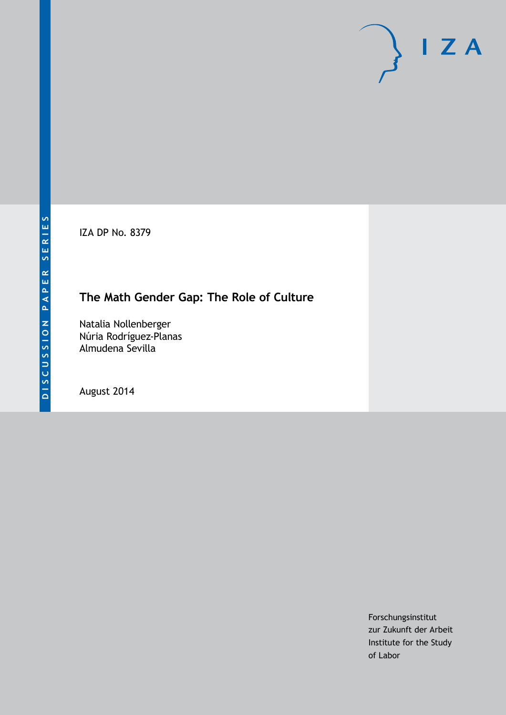IZA DP No. 8379

## **The Math Gender Gap: The Role of Culture**

Natalia Nollenberger Núria Rodríguez-Planas Almudena Sevilla

August 2014

Forschungsinstitut zur Zukunft der Arbeit Institute for the Study of Labor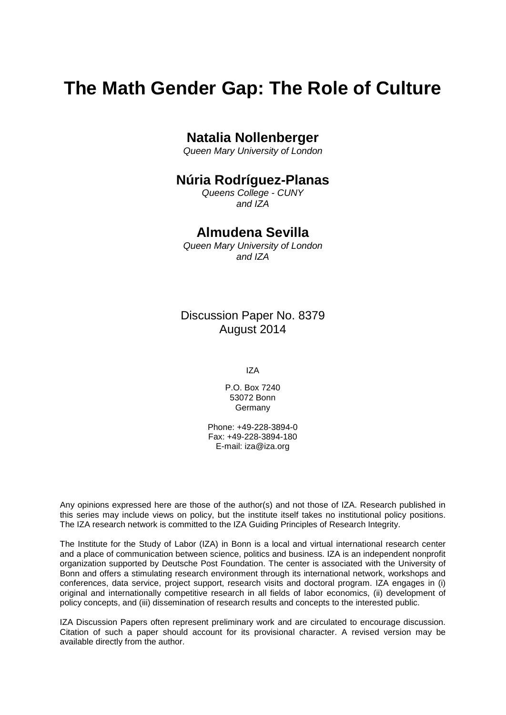# **The Math Gender Gap: The Role of Culture**

## **Natalia Nollenberger**

*Queen Mary University of London*

### **Núria Rodríguez-Planas**

*Queens College - CUNY and IZA*

### **Almudena Sevilla**

*Queen Mary University of London and IZA*

Discussion Paper No. 8379 August 2014

IZA

P.O. Box 7240 53072 Bonn Germany

Phone: +49-228-3894-0 Fax: +49-228-3894-180 E-mail: [iza@iza.org](mailto:iza@iza.org)

Any opinions expressed here are those of the author(s) and not those of IZA. Research published in this series may include views on policy, but the institute itself takes no institutional policy positions. The IZA research network is committed to the IZA Guiding Principles of Research Integrity.

The Institute for the Study of Labor (IZA) in Bonn is a local and virtual international research center and a place of communication between science, politics and business. IZA is an independent nonprofit organization supported by Deutsche Post Foundation. The center is associated with the University of Bonn and offers a stimulating research environment through its international network, workshops and conferences, data service, project support, research visits and doctoral program. IZA engages in (i) original and internationally competitive research in all fields of labor economics, (ii) development of policy concepts, and (iii) dissemination of research results and concepts to the interested public.

<span id="page-1-0"></span>IZA Discussion Papers often represent preliminary work and are circulated to encourage discussion. Citation of such a paper should account for its provisional character. A revised version may be available directly from the author.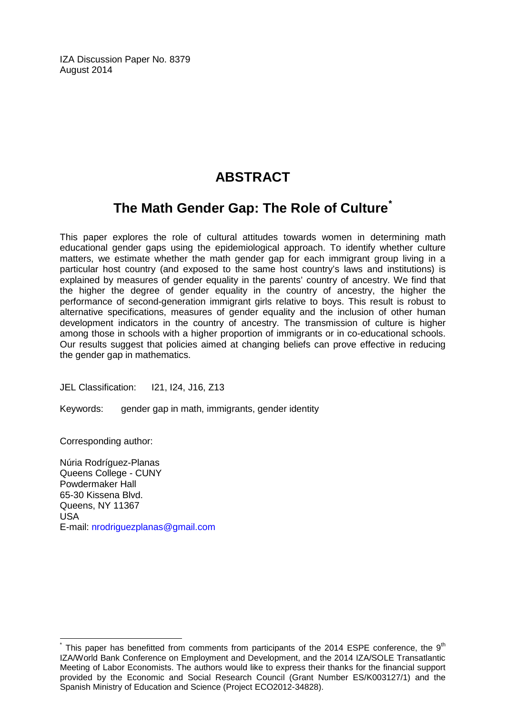IZA Discussion Paper No. 8379 August 2014

## **ABSTRACT**

## **The Math Gender Gap: The Role of Culture[\\*](#page-1-0)**

This paper explores the role of cultural attitudes towards women in determining math educational gender gaps using the epidemiological approach. To identify whether culture matters, we estimate whether the math gender gap for each immigrant group living in a particular host country (and exposed to the same host country's laws and institutions) is explained by measures of gender equality in the parents' country of ancestry. We find that the higher the degree of gender equality in the country of ancestry, the higher the performance of second-generation immigrant girls relative to boys. This result is robust to alternative specifications, measures of gender equality and the inclusion of other human development indicators in the country of ancestry. The transmission of culture is higher among those in schools with a higher proportion of immigrants or in co-educational schools. Our results suggest that policies aimed at changing beliefs can prove effective in reducing the gender gap in mathematics.

JEL Classification: I21, I24, J16, Z13

Keywords: gender gap in math, immigrants, gender identity

Corresponding author:

Núria Rodríguez-Planas Queens College - CUNY Powdermaker Hall 65-30 Kissena Blvd. Queens, NY 11367 USA E-mail: [nrodriguezplanas@gmail.com](mailto:nrodriguezplanas@gmail.com)

This paper has benefitted from comments from participants of the 2014 ESPE conference, the  $9<sup>th</sup>$ IZA/World Bank Conference on Employment and Development, and the 2014 IZA/SOLE Transatlantic Meeting of Labor Economists. The authors would like to express their thanks for the financial support provided by the Economic and Social Research Council (Grant Number ES/K003127/1) and the Spanish Ministry of Education and Science (Project ECO2012-34828).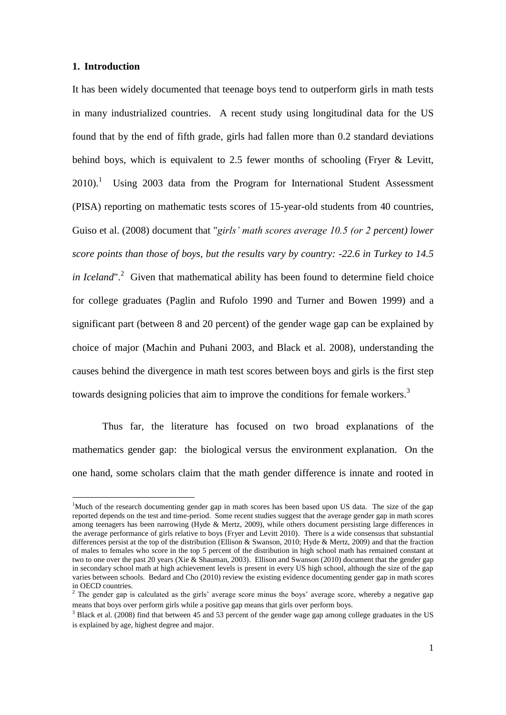#### **1. Introduction**

<u>.</u>

It has been widely documented that teenage boys tend to outperform girls in math tests in many industrialized countries. A recent study using longitudinal data for the US found that by the end of fifth grade, girls had fallen more than 0.2 standard deviations behind boys, which is equivalent to 2.5 fewer months of schooling (Fryer & Levitt,  $2010$ .<sup>1</sup> Using 2003 data from the Program for International Student Assessment (PISA) reporting on mathematic tests scores of 15-year-old students from 40 countries, Guiso et al. (2008) document that "*girls' math scores average 10.5 (or 2 percent) lower score points than those of boys, but the results vary by country: -22.6 in Turkey to 14.5*  in Iceland".<sup>2</sup> Given that mathematical ability has been found to determine field choice for college graduates (Paglin and Rufolo 1990 and Turner and Bowen 1999) and a significant part (between 8 and 20 percent) of the gender wage gap can be explained by choice of major (Machin and Puhani 2003, and Black et al. 2008), understanding the causes behind the divergence in math test scores between boys and girls is the first step towards designing policies that aim to improve the conditions for female workers.<sup>3</sup>

Thus far, the literature has focused on two broad explanations of the mathematics gender gap: the biological versus the environment explanation. On the one hand, some scholars claim that the math gender difference is innate and rooted in

<sup>&</sup>lt;sup>1</sup>Much of the research documenting gender gap in math scores has been based upon US data. The size of the gap reported depends on the test and time-period. Some recent studies suggest that the average gender gap in math scores among teenagers has been narrowing (Hyde & Mertz, 2009), while others document persisting large differences in the average performance of girls relative to boys (Fryer and Levitt 2010). There is a wide consensus that substantial differences persist at the top of the distribution (Ellison & Swanson, 2010; Hyde & Mertz, 2009) and that the fraction of males to females who score in the top 5 percent of the distribution in high school math has remained constant at two to one over the past 20 years (Xie & Shauman, 2003). Ellison and Swanson (2010) document that the gender gap in secondary school math at high achievement levels is present in every US high school, although the size of the gap varies between schools. Bedard and Cho (2010) review the existing evidence documenting gender gap in math scores in OECD countries.

 $2$  The gender gap is calculated as the girls' average score minus the boys' average score, whereby a negative gap means that boys over perform girls while a positive gap means that girls over perform boys.

 $3$  Black et al. (2008) find that between 45 and 53 percent of the gender wage gap among college graduates in the US is explained by age, highest degree and major.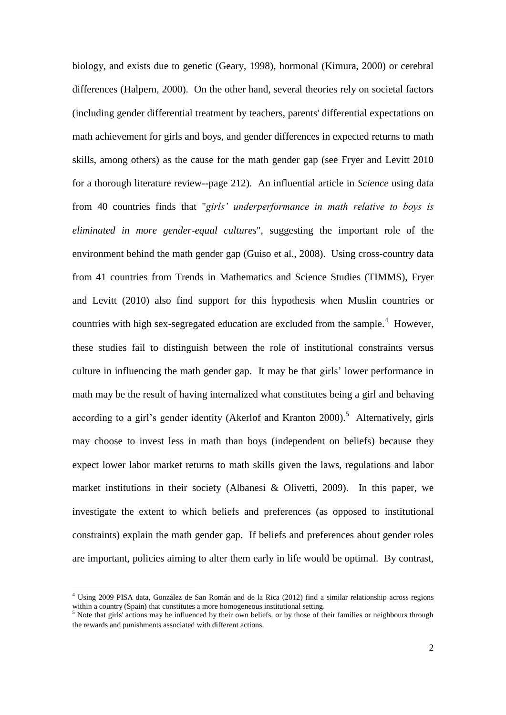biology, and exists due to genetic (Geary, 1998), hormonal (Kimura, 2000) or cerebral differences (Halpern, 2000). On the other hand, several theories rely on societal factors (including gender differential treatment by teachers, parents' differential expectations on math achievement for girls and boys, and gender differences in expected returns to math skills, among others) as the cause for the math gender gap (see Fryer and Levitt 2010 for a thorough literature review--page 212). An influential article in *Science* using data from 40 countries finds that "*girls' underperformance in math relative to boys is eliminated in more gender-equal cultures*", suggesting the important role of the environment behind the math gender gap (Guiso et al., 2008). Using cross-country data from 41 countries from Trends in Mathematics and Science Studies (TIMMS), Fryer and Levitt (2010) also find support for this hypothesis when Muslin countries or countries with high sex-segregated education are excluded from the sample.<sup>4</sup> However, these studies fail to distinguish between the role of institutional constraints versus culture in influencing the math gender gap. It may be that girls' lower performance in math may be the result of having internalized what constitutes being a girl and behaving according to a girl's gender identity (Akerlof and Kranton 2000).<sup>5</sup> Alternatively, girls may choose to invest less in math than boys (independent on beliefs) because they expect lower labor market returns to math skills given the laws, regulations and labor market institutions in their society (Albanesi & Olivetti, 2009). In this paper, we investigate the extent to which beliefs and preferences (as opposed to institutional constraints) explain the math gender gap. If beliefs and preferences about gender roles are important, policies aiming to alter them early in life would be optimal. By contrast,

<sup>4</sup> Using 2009 PISA data, González de San Román and de la Rica (2012) find a similar relationship across regions within a country (Spain) that constitutes a more homogeneous institutional setting.

 $<sup>5</sup>$  Note that girls' actions may be influenced by their own beliefs, or by those of their families or neighbours through</sup> the rewards and punishments associated with different actions.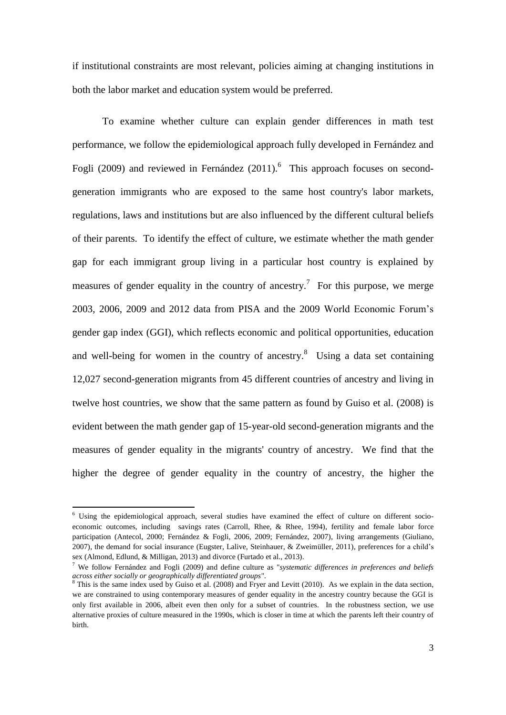if institutional constraints are most relevant, policies aiming at changing institutions in both the labor market and education system would be preferred.

To examine whether culture can explain gender differences in math test performance, we follow the epidemiological approach fully developed in Fernández and Fogli (2009) and reviewed in Fernández (2011).<sup>6</sup> This approach focuses on secondgeneration immigrants who are exposed to the same host country's labor markets, regulations, laws and institutions but are also influenced by the different cultural beliefs of their parents. To identify the effect of culture, we estimate whether the math gender gap for each immigrant group living in a particular host country is explained by measures of gender equality in the country of ancestry.<sup>7</sup> For this purpose, we merge 2003, 2006, 2009 and 2012 data from PISA and the 2009 World Economic Forum's gender gap index (GGI), which reflects economic and political opportunities, education and well-being for women in the country of ancestry. $8$  Using a data set containing 12,027 second-generation migrants from 45 different countries of ancestry and living in twelve host countries, we show that the same pattern as found by Guiso et al. (2008) is evident between the math gender gap of 15-year-old second-generation migrants and the measures of gender equality in the migrants' country of ancestry. We find that the higher the degree of gender equality in the country of ancestry, the higher the

<sup>6</sup> Using the epidemiological approach, several studies have examined the effect of culture on different socioeconomic outcomes, including savings rates (Carroll, Rhee, & Rhee, 1994), fertility and female labor force participation (Antecol, 2000; Fernández & Fogli, 2006, 2009; Fernández, 2007), living arrangements (Giuliano, 2007), the demand for social insurance (Eugster, Lalive, Steinhauer, & Zweimüller, 2011), preferences for a child's sex (Almond, Edlund, & Milligan, 2013) and divorce (Furtado et al., 2013).

<sup>7</sup> We follow Fernández and Fogli (2009) and define culture as "*systematic differences in preferences and beliefs across either socially or geographically differentiated groups*".

<sup>8</sup> This is the same index used by Guiso et al. (2008) and Fryer and Levitt (2010). As we explain in the data section, we are constrained to using contemporary measures of gender equality in the ancestry country because the GGI is only first available in 2006, albeit even then only for a subset of countries. In the robustness section, we use alternative proxies of culture measured in the 1990s, which is closer in time at which the parents left their country of birth.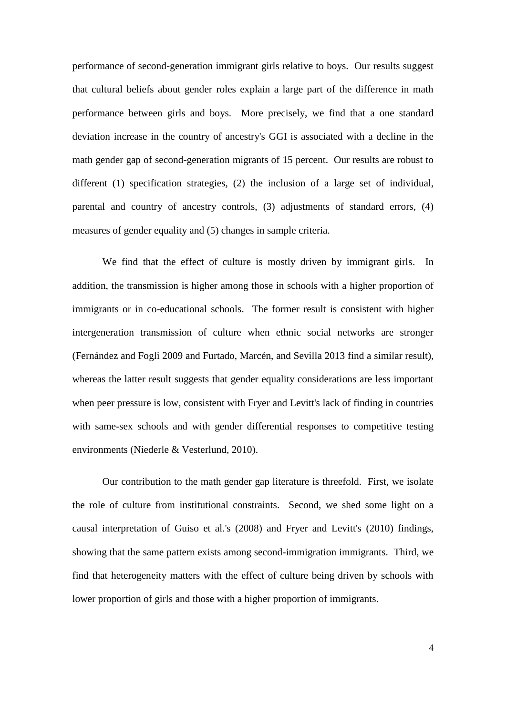performance of second-generation immigrant girls relative to boys. Our results suggest that cultural beliefs about gender roles explain a large part of the difference in math performance between girls and boys. More precisely, we find that a one standard deviation increase in the country of ancestry's GGI is associated with a decline in the math gender gap of second-generation migrants of 15 percent. Our results are robust to different (1) specification strategies, (2) the inclusion of a large set of individual, parental and country of ancestry controls, (3) adjustments of standard errors, (4) measures of gender equality and (5) changes in sample criteria.

We find that the effect of culture is mostly driven by immigrant girls. In addition, the transmission is higher among those in schools with a higher proportion of immigrants or in co-educational schools. The former result is consistent with higher intergeneration transmission of culture when ethnic social networks are stronger (Fernández and Fogli 2009 and Furtado, Marcén, and Sevilla 2013 find a similar result), whereas the latter result suggests that gender equality considerations are less important when peer pressure is low, consistent with Fryer and Levitt's lack of finding in countries with same-sex schools and with gender differential responses to competitive testing environments (Niederle & Vesterlund, 2010).

Our contribution to the math gender gap literature is threefold. First, we isolate the role of culture from institutional constraints. Second, we shed some light on a causal interpretation of Guiso et al*.*'s (2008) and Fryer and Levitt's (2010) findings, showing that the same pattern exists among second-immigration immigrants. Third, we find that heterogeneity matters with the effect of culture being driven by schools with lower proportion of girls and those with a higher proportion of immigrants.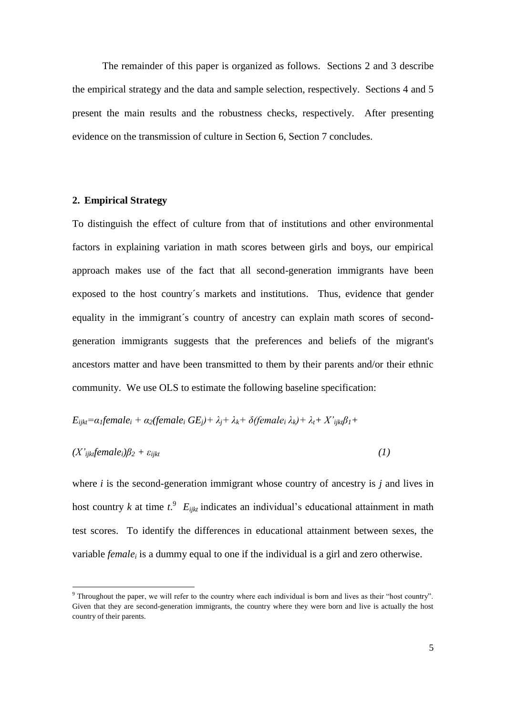The remainder of this paper is organized as follows. Sections 2 and 3 describe the empirical strategy and the data and sample selection, respectively. Sections 4 and 5 present the main results and the robustness checks, respectively. After presenting evidence on the transmission of culture in Section 6, Section 7 concludes.

#### **2. Empirical Strategy**

<u>.</u>

To distinguish the effect of culture from that of institutions and other environmental factors in explaining variation in math scores between girls and boys, our empirical approach makes use of the fact that all second-generation immigrants have been exposed to the host country´s markets and institutions. Thus, evidence that gender equality in the immigrant´s country of ancestry can explain math scores of secondgeneration immigrants suggests that the preferences and beliefs of the migrant's ancestors matter and have been transmitted to them by their parents and/or their ethnic community. We use OLS to estimate the following baseline specification:

$$
E_{ijkl} = \alpha_l \text{female}_i + \alpha_2 \text{female}_i \text{ } GE_j + \lambda_j + \lambda_k + \delta \text{ } \text{female}_i \text{ } \lambda_k + \lambda_i + X_{ijkl} \beta_1 +
$$

$$
(X'_{ijk} female_i)\beta_2 + \varepsilon_{ijkt} \tag{1}
$$

where *i* is the second-generation immigrant whose country of ancestry is *j* and lives in host country *k* at time  $t^9$ .  $E_{ijkt}$  indicates an individual's educational attainment in math test scores. To identify the differences in educational attainment between sexes, the variable *female<sup>i</sup>* is a dummy equal to one if the individual is a girl and zero otherwise.

<sup>9</sup> Throughout the paper, we will refer to the country where each individual is born and lives as their "host country". Given that they are second-generation immigrants, the country where they were born and live is actually the host country of their parents.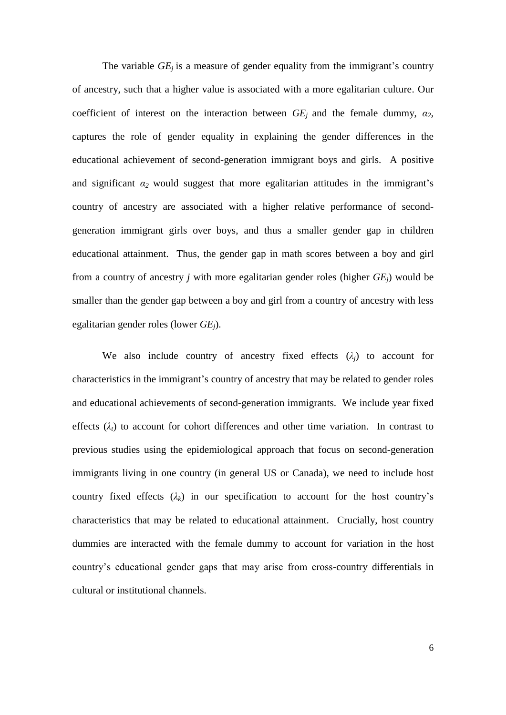The variable  $GE_i$  is a measure of gender equality from the immigrant's country of ancestry, such that a higher value is associated with a more egalitarian culture. Our coefficient of interest on the interaction between  $GE_i$  and the female dummy,  $a_2$ , captures the role of gender equality in explaining the gender differences in the educational achievement of second-generation immigrant boys and girls. A positive and significant  $\alpha_2$  would suggest that more egalitarian attitudes in the immigrant's country of ancestry are associated with a higher relative performance of secondgeneration immigrant girls over boys, and thus a smaller gender gap in children educational attainment. Thus, the gender gap in math scores between a boy and girl from a country of ancestry *j* with more egalitarian gender roles (higher *GEj*) would be smaller than the gender gap between a boy and girl from a country of ancestry with less egalitarian gender roles (lower *GEj*).

We also include country of ancestry fixed effects  $(\lambda_i)$  to account for characteristics in the immigrant's country of ancestry that may be related to gender roles and educational achievements of second-generation immigrants. We include year fixed effects  $(\lambda_t)$  to account for cohort differences and other time variation. In contrast to previous studies using the epidemiological approach that focus on second-generation immigrants living in one country (in general US or Canada), we need to include host country fixed effects  $(\lambda_k)$  in our specification to account for the host country's characteristics that may be related to educational attainment. Crucially, host country dummies are interacted with the female dummy to account for variation in the host country's educational gender gaps that may arise from cross-country differentials in cultural or institutional channels.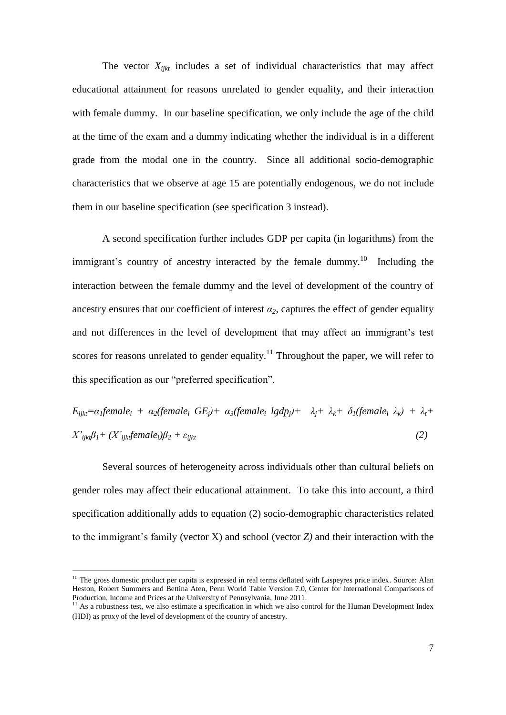The vector  $X_{iikt}$  includes a set of individual characteristics that may affect educational attainment for reasons unrelated to gender equality, and their interaction with female dummy. In our baseline specification, we only include the age of the child at the time of the exam and a dummy indicating whether the individual is in a different grade from the modal one in the country. Since all additional socio-demographic characteristics that we observe at age 15 are potentially endogenous, we do not include them in our baseline specification (see specification 3 instead).

A second specification further includes GDP per capita (in logarithms) from the immigrant's country of ancestry interacted by the female dummy.<sup>10</sup> Including the interaction between the female dummy and the level of development of the country of ancestry ensures that our coefficient of interest  $\alpha_2$ , captures the effect of gender equality and not differences in the level of development that may affect an immigrant's test scores for reasons unrelated to gender equality.<sup>11</sup> Throughout the paper, we will refer to this specification as our "preferred specification".

$$
E_{ijkl} = \alpha_l female_i + \alpha_2(female_i GE_j) + \alpha_3(female_i Igdp_j) + \lambda_j + \lambda_k + \delta_l(female_i \lambda_k) + \lambda_l +
$$
  

$$
X'_{ijkl}\beta_l + (X'_{ijkl} female_i)\beta_2 + \varepsilon_{ijkl}
$$
 (2)

Several sources of heterogeneity across individuals other than cultural beliefs on gender roles may affect their educational attainment. To take this into account, a third specification additionally adds to equation (2) socio-demographic characteristics related to the immigrant's family (vector X) and school (vector *Z)* and their interaction with the

 $10$  The gross domestic product per capita is expressed in real terms deflated with Laspeyres price index. Source: Alan Heston, Robert Summers and Bettina Aten, Penn World Table Version 7.0, Center for International Comparisons of Production, Income and Prices at the University of Pennsylvania, June 2011.

<sup>&</sup>lt;sup>11</sup> As a robustness test, we also estimate a specification in which we also control for the Human Development Index (HDI) as proxy of the level of development of the country of ancestry.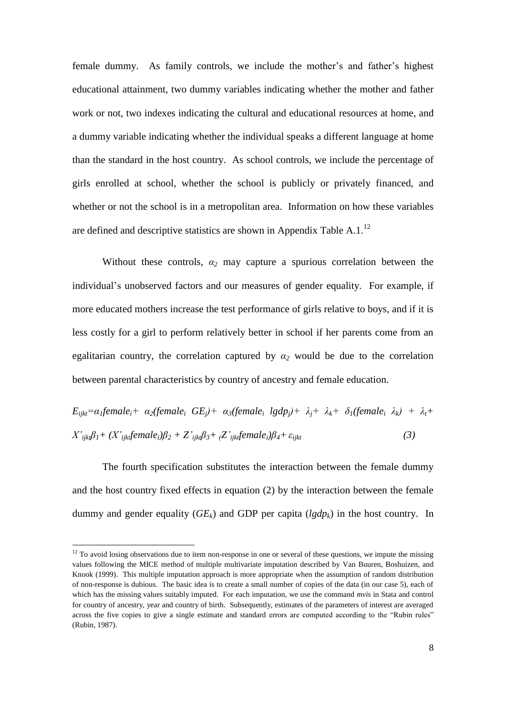female dummy. As family controls, we include the mother's and father's highest educational attainment, two dummy variables indicating whether the mother and father work or not, two indexes indicating the cultural and educational resources at home, and a dummy variable indicating whether the individual speaks a different language at home than the standard in the host country. As school controls, we include the percentage of girls enrolled at school, whether the school is publicly or privately financed, and whether or not the school is in a metropolitan area. Information on how these variables are defined and descriptive statistics are shown in Appendix Table A.1.<sup>12</sup>

Without these controls,  $a_2$  may capture a spurious correlation between the individual's unobserved factors and our measures of gender equality. For example, if more educated mothers increase the test performance of girls relative to boys, and if it is less costly for a girl to perform relatively better in school if her parents come from an egalitarian country, the correlation captured by  $\alpha_2$  would be due to the correlation between parental characteristics by country of ancestry and female education.

 $E_{i\hat{i}kt} = \alpha_1$ female<sub>i</sub> +  $\alpha_2$ (female<sub>i</sub> GE<sub>i</sub>) +  $\alpha_3$ (female<sub>i</sub> lgdp<sub>i</sub>) +  $\lambda_i$  +  $\lambda_k$  +  $\delta_1$ (female<sub>i</sub>  $\lambda_k$ ) +  $\lambda_i$  +  $X'_{iik} \beta_l + (X'_{iik} \text{female}_i) \beta_2 + Z'_{iik} \beta_3 + (Z'_{iik} \text{female}_i) \beta_4 + \varepsilon_{iik}$  (3)

The fourth specification substitutes the interaction between the female dummy and the host country fixed effects in equation (2) by the interaction between the female dummy and gender equality  $(GE_k)$  and GDP per capita  $(lgdp_k)$  in the host country. In

 $12$  To avoid losing observations due to item non-response in one or several of these questions, we impute the missing values following the MICE method of multiple multivariate imputation described by Van Buuren, Boshuizen, and Knook (1999). This multiple imputation approach is more appropriate when the assumption of random distribution of non-response is dubious. The basic idea is to create a small number of copies of the data (in our case 5), each of which has the missing values suitably imputed. For each imputation, we use the command *mvis* in Stata and control for country of ancestry, year and country of birth. Subsequently, estimates of the parameters of interest are averaged across the five copies to give a single estimate and standard errors are computed according to the "Rubin rules" (Rubin, 1987).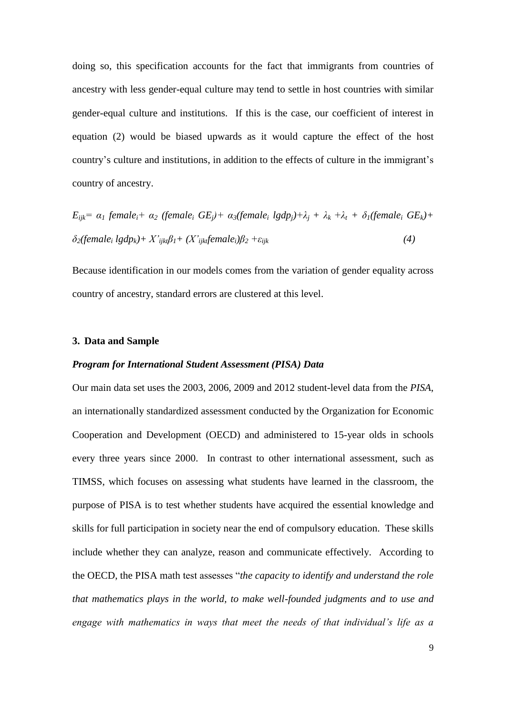doing so, this specification accounts for the fact that immigrants from countries of ancestry with less gender-equal culture may tend to settle in host countries with similar gender-equal culture and institutions. If this is the case, our coefficient of interest in equation (2) would be biased upwards as it would capture the effect of the host country's culture and institutions, in addition to the effects of culture in the immigrant's country of ancestry.

$$
E_{ijk} = \alpha_1 \text{ female}_i + \alpha_2 \text{ (female}_i \text{ GE}_j) + \alpha_3 \text{ (female}_i \text{ lag} \text{ Dy}) + \lambda_j + \lambda_k + \lambda_t + \delta_1 \text{ (female}_i \text{ GE}_k) + \delta_2 \text{ (female}_i \text{ lag} \text{ Dy}) + X'_{ijk} \beta_1 + (X'_{ijk} \text{ female}_i) \beta_2 + \varepsilon_{ijk}
$$
\n
$$
(4)
$$

Because identification in our models comes from the variation of gender equality across country of ancestry, standard errors are clustered at this level.

#### **3. Data and Sample**

#### *Program for International Student Assessment (PISA) Data*

Our main data set uses the 2003, 2006, 2009 and 2012 student-level data from the *PISA*, an internationally standardized assessment conducted by the Organization for Economic Cooperation and Development (OECD) and administered to 15-year olds in schools every three years since 2000. In contrast to other international assessment, such as TIMSS, which focuses on assessing what students have learned in the classroom, the purpose of PISA is to test whether students have acquired the essential knowledge and skills for full participation in society near the end of compulsory education. These skills include whether they can analyze, reason and communicate effectively. According to the OECD, the PISA math test assesses "*the capacity to identify and understand the role that mathematics plays in the world, to make well-founded judgments and to use and engage with mathematics in ways that meet the needs of that individual's life as a*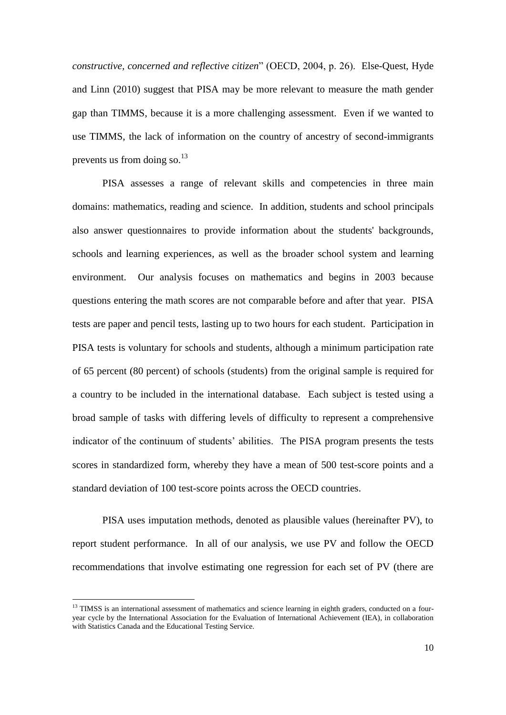*constructive, concerned and reflective citizen*" (OECD, 2004, p. 26). Else-Quest, Hyde and Linn (2010) suggest that PISA may be more relevant to measure the math gender gap than TIMMS, because it is a more challenging assessment. Even if we wanted to use TIMMS, the lack of information on the country of ancestry of second-immigrants prevents us from doing so.<sup>13</sup>

PISA assesses a range of relevant skills and competencies in three main domains: mathematics, reading and science. In addition, students and school principals also answer questionnaires to provide information about the students' backgrounds, schools and learning experiences, as well as the broader school system and learning environment. Our analysis focuses on mathematics and begins in 2003 because questions entering the math scores are not comparable before and after that year. PISA tests are paper and pencil tests, lasting up to two hours for each student. Participation in PISA tests is voluntary for schools and students, although a minimum participation rate of 65 percent (80 percent) of schools (students) from the original sample is required for a country to be included in the international database. Each subject is tested using a broad sample of tasks with differing levels of difficulty to represent a comprehensive indicator of the continuum of students' abilities. The PISA program presents the tests scores in standardized form, whereby they have a mean of 500 test-score points and a standard deviation of 100 test-score points across the OECD countries.

PISA uses imputation methods, denoted as plausible values (hereinafter PV), to report student performance. In all of our analysis, we use PV and follow the OECD recommendations that involve estimating one regression for each set of PV (there are

 $13$  TIMSS is an international assessment of mathematics and science learning in eighth graders, conducted on a fouryear cycle by the International Association for the Evaluation of International Achievement (IEA), in collaboration with Statistics Canada and the Educational Testing Service.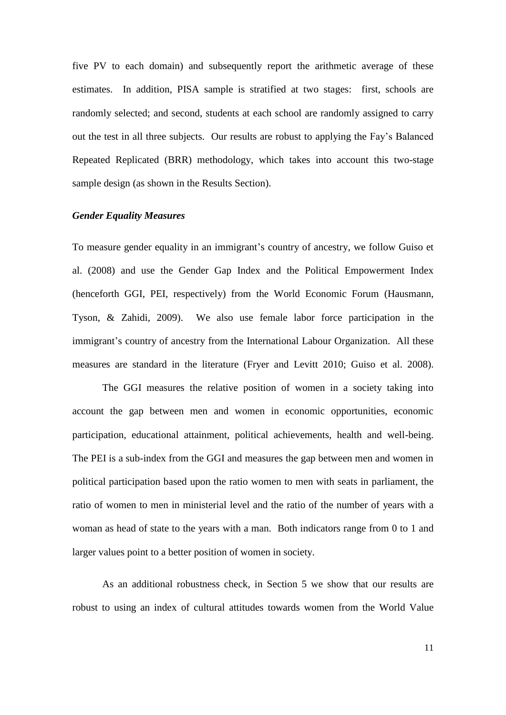five PV to each domain) and subsequently report the arithmetic average of these estimates. In addition, PISA sample is stratified at two stages: first, schools are randomly selected; and second, students at each school are randomly assigned to carry out the test in all three subjects. Our results are robust to applying the Fay's Balanced Repeated Replicated (BRR) methodology, which takes into account this two-stage sample design (as shown in the Results Section).

#### *Gender Equality Measures*

To measure gender equality in an immigrant's country of ancestry, we follow Guiso et al. (2008) and use the Gender Gap Index and the Political Empowerment Index (henceforth GGI, PEI, respectively) from the World Economic Forum (Hausmann, Tyson, & Zahidi, 2009). We also use female labor force participation in the immigrant's country of ancestry from the International Labour Organization. All these measures are standard in the literature (Fryer and Levitt 2010; Guiso et al. 2008).

The GGI measures the relative position of women in a society taking into account the gap between men and women in economic opportunities, economic participation, educational attainment, political achievements, health and well-being. The PEI is a sub-index from the GGI and measures the gap between men and women in political participation based upon the ratio women to men with seats in parliament, the ratio of women to men in ministerial level and the ratio of the number of years with a woman as head of state to the years with a man. Both indicators range from 0 to 1 and larger values point to a better position of women in society.

As an additional robustness check, in Section 5 we show that our results are robust to using an index of cultural attitudes towards women from the World Value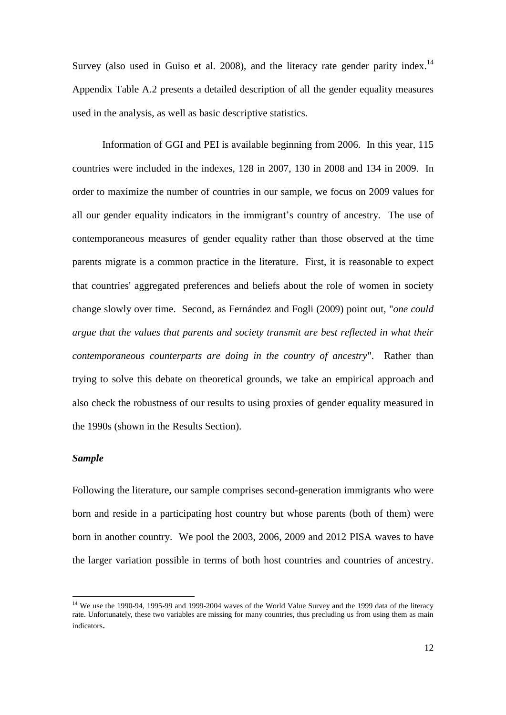Survey (also used in Guiso et al. 2008), and the literacy rate gender parity index.<sup>14</sup> Appendix Table A.2 presents a detailed description of all the gender equality measures used in the analysis, as well as basic descriptive statistics.

Information of GGI and PEI is available beginning from 2006. In this year, 115 countries were included in the indexes, 128 in 2007, 130 in 2008 and 134 in 2009. In order to maximize the number of countries in our sample, we focus on 2009 values for all our gender equality indicators in the immigrant's country of ancestry. The use of contemporaneous measures of gender equality rather than those observed at the time parents migrate is a common practice in the literature. First, it is reasonable to expect that countries' aggregated preferences and beliefs about the role of women in society change slowly over time. Second, as Fernández and Fogli (2009) point out, "*one could argue that the values that parents and society transmit are best reflected in what their contemporaneous counterparts are doing in the country of ancestry*". Rather than trying to solve this debate on theoretical grounds, we take an empirical approach and also check the robustness of our results to using proxies of gender equality measured in the 1990s (shown in the Results Section).

#### *Sample*

<u>.</u>

Following the literature, our sample comprises second-generation immigrants who were born and reside in a participating host country but whose parents (both of them) were born in another country. We pool the 2003, 2006, 2009 and 2012 PISA waves to have the larger variation possible in terms of both host countries and countries of ancestry.

<sup>&</sup>lt;sup>14</sup> We use the 1990-94, 1995-99 and 1999-2004 waves of the World Value Survey and the 1999 data of the literacy rate. Unfortunately, these two variables are missing for many countries, thus precluding us from using them as main indicators.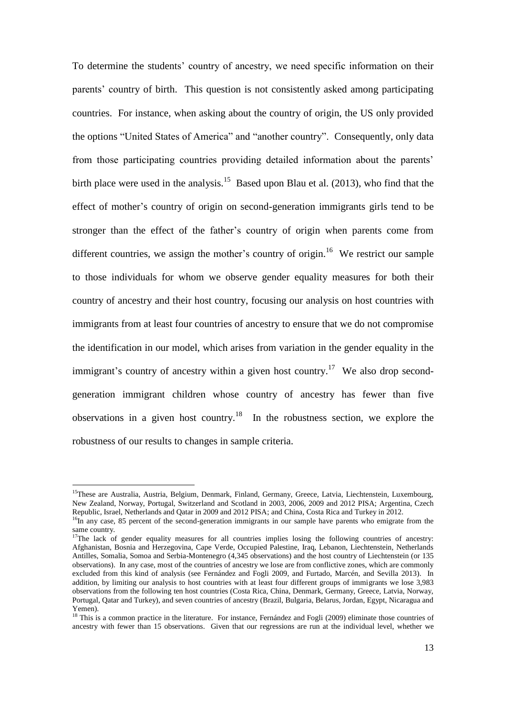To determine the students' country of ancestry, we need specific information on their parents' country of birth. This question is not consistently asked among participating countries. For instance, when asking about the country of origin, the US only provided the options "United States of America" and "another country". Consequently, only data from those participating countries providing detailed information about the parents' birth place were used in the analysis.<sup>15</sup> Based upon Blau et al. (2013), who find that the effect of mother's country of origin on second-generation immigrants girls tend to be stronger than the effect of the father's country of origin when parents come from different countries, we assign the mother's country of origin.<sup>16</sup> We restrict our sample to those individuals for whom we observe gender equality measures for both their country of ancestry and their host country, focusing our analysis on host countries with immigrants from at least four countries of ancestry to ensure that we do not compromise the identification in our model, which arises from variation in the gender equality in the immigrant's country of ancestry within a given host country.<sup>17</sup> We also drop secondgeneration immigrant children whose country of ancestry has fewer than five observations in a given host country.<sup>18</sup> In the robustness section, we explore the robustness of our results to changes in sample criteria.

<sup>&</sup>lt;sup>15</sup>These are Australia, Austria, Belgium, Denmark, Finland, Germany, Greece, Latvia, Liechtenstein, Luxembourg, New Zealand, Norway, Portugal, Switzerland and Scotland in 2003, 2006, 2009 and 2012 PISA; Argentina, Czech Republic, Israel, Netherlands and Qatar in 2009 and 2012 PISA; and China, Costa Rica and Turkey in 2012.

 $16$ In any case, 85 percent of the second-generation immigrants in our sample have parents who emigrate from the same country.

 $17$ The lack of gender equality measures for all countries implies losing the following countries of ancestry: Afghanistan, Bosnia and Herzegovina, Cape Verde, Occupied Palestine, Iraq, Lebanon, Liechtenstein, Netherlands Antilles, Somalia, Somoa and Serbia-Montenegro (4,345 observations) and the host country of Liechtenstein (or 135 observations). In any case, most of the countries of ancestry we lose are from conflictive zones, which are commonly excluded from this kind of analysis (see Fernández and Fogli 2009, and Furtado, Marcén, and Sevilla 2013). In addition, by limiting our analysis to host countries with at least four different groups of immigrants we lose 3,983 observations from the following ten host countries (Costa Rica, China, Denmark, Germany, Greece, Latvia, Norway, Portugal, Qatar and Turkey), and seven countries of ancestry (Brazil, Bulgaria, Belarus, Jordan, Egypt, Nicaragua and Yemen).

 $18$  This is a common practice in the literature. For instance, Fernández and Fogli (2009) eliminate those countries of ancestry with fewer than 15 observations. Given that our regressions are run at the individual level, whether we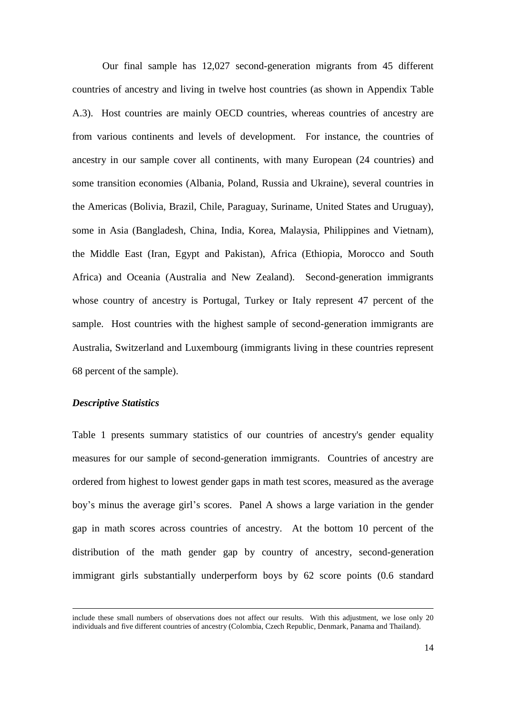Our final sample has 12,027 second-generation migrants from 45 different countries of ancestry and living in twelve host countries (as shown in Appendix Table A.3). Host countries are mainly OECD countries, whereas countries of ancestry are from various continents and levels of development. For instance, the countries of ancestry in our sample cover all continents, with many European (24 countries) and some transition economies (Albania, Poland, Russia and Ukraine), several countries in the Americas (Bolivia, Brazil, Chile, Paraguay, Suriname, United States and Uruguay), some in Asia (Bangladesh, China, India, Korea, Malaysia, Philippines and Vietnam), the Middle East (Iran, Egypt and Pakistan), Africa (Ethiopia, Morocco and South Africa) and Oceania (Australia and New Zealand). Second-generation immigrants whose country of ancestry is Portugal, Turkey or Italy represent 47 percent of the sample. Host countries with the highest sample of second-generation immigrants are Australia, Switzerland and Luxembourg (immigrants living in these countries represent 68 percent of the sample).

#### *Descriptive Statistics*

1

Table 1 presents summary statistics of our countries of ancestry's gender equality measures for our sample of second-generation immigrants. Countries of ancestry are ordered from highest to lowest gender gaps in math test scores, measured as the average boy's minus the average girl's scores. Panel A shows a large variation in the gender gap in math scores across countries of ancestry. At the bottom 10 percent of the distribution of the math gender gap by country of ancestry, second-generation immigrant girls substantially underperform boys by 62 score points (0.6 standard

include these small numbers of observations does not affect our results. With this adjustment, we lose only 20 individuals and five different countries of ancestry (Colombia, Czech Republic, Denmark, Panama and Thailand).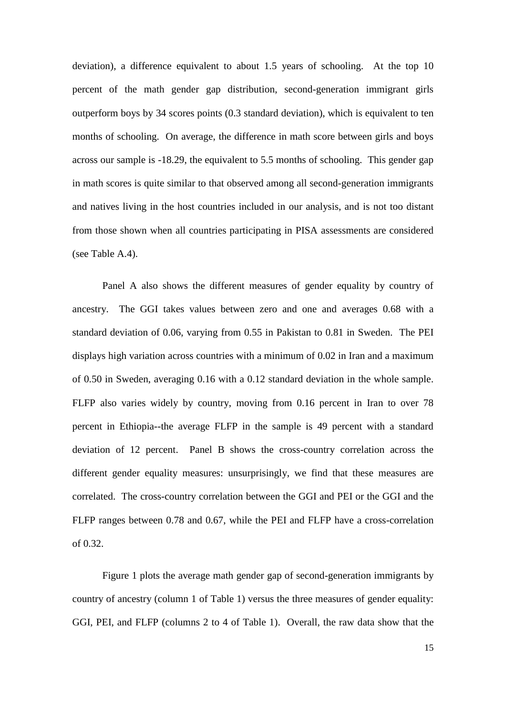deviation), a difference equivalent to about 1.5 years of schooling. At the top 10 percent of the math gender gap distribution, second-generation immigrant girls outperform boys by 34 scores points (0.3 standard deviation), which is equivalent to ten months of schooling. On average, the difference in math score between girls and boys across our sample is -18.29, the equivalent to 5.5 months of schooling. This gender gap in math scores is quite similar to that observed among all second-generation immigrants and natives living in the host countries included in our analysis, and is not too distant from those shown when all countries participating in PISA assessments are considered (see Table A.4).

Panel A also shows the different measures of gender equality by country of ancestry. The GGI takes values between zero and one and averages 0.68 with a standard deviation of 0.06, varying from 0.55 in Pakistan to 0.81 in Sweden. The PEI displays high variation across countries with a minimum of 0.02 in Iran and a maximum of 0.50 in Sweden, averaging 0.16 with a 0.12 standard deviation in the whole sample. FLFP also varies widely by country, moving from 0.16 percent in Iran to over 78 percent in Ethiopia--the average FLFP in the sample is 49 percent with a standard deviation of 12 percent. Panel B shows the cross-country correlation across the different gender equality measures: unsurprisingly, we find that these measures are correlated. The cross-country correlation between the GGI and PEI or the GGI and the FLFP ranges between 0.78 and 0.67, while the PEI and FLFP have a cross-correlation of 0.32.

Figure 1 plots the average math gender gap of second-generation immigrants by country of ancestry (column 1 of Table 1) versus the three measures of gender equality: GGI, PEI, and FLFP (columns 2 to 4 of Table 1). Overall, the raw data show that the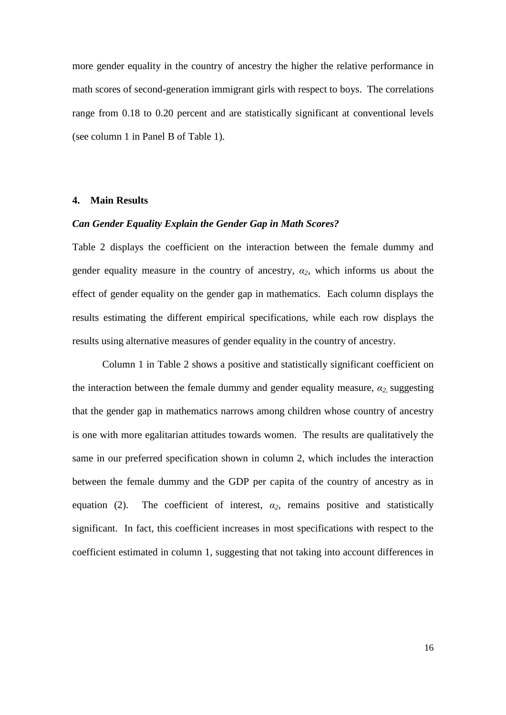more gender equality in the country of ancestry the higher the relative performance in math scores of second-generation immigrant girls with respect to boys. The correlations range from 0.18 to 0.20 percent and are statistically significant at conventional levels (see column 1 in Panel B of Table 1).

#### **4. Main Results**

#### *Can Gender Equality Explain the Gender Gap in Math Scores?*

Table 2 displays the coefficient on the interaction between the female dummy and gender equality measure in the country of ancestry,  $a_2$ , which informs us about the effect of gender equality on the gender gap in mathematics. Each column displays the results estimating the different empirical specifications, while each row displays the results using alternative measures of gender equality in the country of ancestry.

Column 1 in Table 2 shows a positive and statistically significant coefficient on the interaction between the female dummy and gender equality measure, *α2,* suggesting that the gender gap in mathematics narrows among children whose country of ancestry is one with more egalitarian attitudes towards women. The results are qualitatively the same in our preferred specification shown in column 2, which includes the interaction between the female dummy and the GDP per capita of the country of ancestry as in equation (2). The coefficient of interest,  $\alpha_2$ , remains positive and statistically significant. In fact, this coefficient increases in most specifications with respect to the coefficient estimated in column 1, suggesting that not taking into account differences in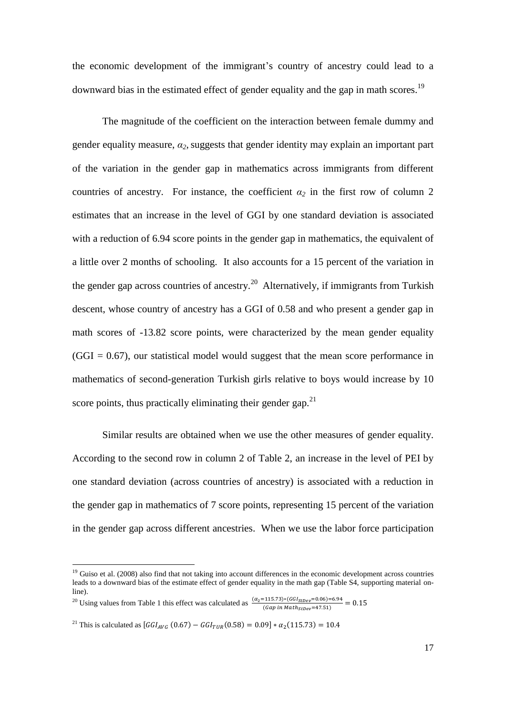the economic development of the immigrant's country of ancestry could lead to a downward bias in the estimated effect of gender equality and the gap in math scores.<sup>19</sup>

The magnitude of the coefficient on the interaction between female dummy and gender equality measure,  $\alpha_2$ , suggests that gender identity may explain an important part of the variation in the gender gap in mathematics across immigrants from different countries of ancestry. For instance, the coefficient  $\alpha_2$  in the first row of column 2 estimates that an increase in the level of GGI by one standard deviation is associated with a reduction of 6.94 score points in the gender gap in mathematics, the equivalent of a little over 2 months of schooling. It also accounts for a 15 percent of the variation in the gender gap across countries of ancestry.<sup>20</sup> Alternatively, if immigrants from Turkish descent, whose country of ancestry has a GGI of 0.58 and who present a gender gap in math scores of -13.82 score points, were characterized by the mean gender equality  $(GGI = 0.67)$ , our statistical model would suggest that the mean score performance in mathematics of second-generation Turkish girls relative to boys would increase by 10 score points, thus practically eliminating their gender gap. $2<sup>1</sup>$ 

Similar results are obtained when we use the other measures of gender equality. According to the second row in column 2 of Table 2, an increase in the level of PEI by one standard deviation (across countries of ancestry) is associated with a reduction in the gender gap in mathematics of 7 score points, representing 15 percent of the variation in the gender gap across different ancestries. When we use the labor force participation

1

 $19$  Guiso et al. (2008) also find that not taking into account differences in the economic development across countries leads to a downward bias of the estimate effect of gender equality in the math gap (Table S4, supporting material online).

<sup>&</sup>lt;sup>20</sup> Using values from Table 1 this effect was calculated as  $\frac{(\alpha_2=115.73)*(GGI_{stDep}=0.06)=6.94}{(Gap in Math_{stDep}=47.51)}$ 

<sup>&</sup>lt;sup>21</sup> This is calculated as  $[GGI_{AVG} (0.67) - GGI_{TUR} (0.58) = 0.09] * \alpha_2$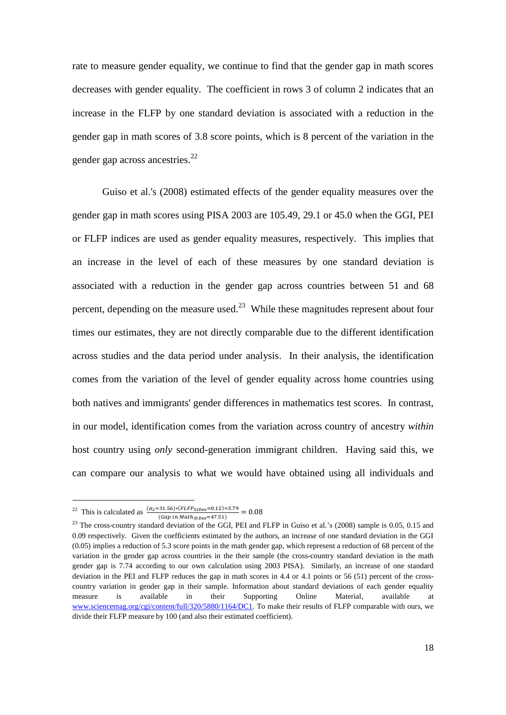rate to measure gender equality, we continue to find that the gender gap in math scores decreases with gender equality. The coefficient in rows 3 of column 2 indicates that an increase in the FLFP by one standard deviation is associated with a reduction in the gender gap in math scores of 3.8 score points, which is 8 percent of the variation in the gender gap across ancestries.<sup>22</sup>

Guiso et al.'s (2008) estimated effects of the gender equality measures over the gender gap in math scores using PISA 2003 are 105.49, 29.1 or 45.0 when the GGI, PEI or FLFP indices are used as gender equality measures, respectively. This implies that an increase in the level of each of these measures by one standard deviation is associated with a reduction in the gender gap across countries between 51 and 68 percent, depending on the measure used.<sup>23</sup> While these magnitudes represent about four times our estimates, they are not directly comparable due to the different identification across studies and the data period under analysis. In their analysis, the identification comes from the variation of the level of gender equality across home countries using both natives and immigrants' gender differences in mathematics test scores. In contrast, in our model, identification comes from the variation across country of ancestry *within* host country using *only* second-generation immigrant children. Having said this, we can compare our analysis to what we would have obtained using all individuals and

<sup>&</sup>lt;sup>22</sup> This is calculated as  $\frac{(\alpha_2=31.56)*(FLFP_{StDev}=0.12)=3.79}{(Ggm in Math)_{\alpha=2.751}}$ (Gap in  $Math_{StDev}$ =47.51)

 $23$  The cross-country standard deviation of the GGI, PEI and FLFP in Guiso et al.'s (2008) sample is 0.05, 0.15 and 0.09 respectively. Given the coefficients estimated by the authors, an increase of one standard deviation in the GGI  $(0.05)$  implies a reduction of 5.3 score points in the math gender gap, which represent a reduction of 68 percent of the variation in the gender gap across countries in the their sample (the cross-country standard deviation in the math gender gap is 7.74 according to our own calculation using 2003 PISA). Similarly, an increase of one standard deviation in the PEI and FLFP reduces the gap in math scores in 4.4 or 4.1 points or 56 (51) percent of the crosscountry variation in gender gap in their sample. Information about standard deviations of each gender equality measure is available in their Supporting Online Material, available at [www.sciencemag.org/cgi/content/full/320/5880/1164/DC1.](http://www.sciencemag.org/cgi/content/full/320/5880/1164/DC1) To make their results of FLFP comparable with ours, we divide their FLFP measure by 100 (and also their estimated coefficient).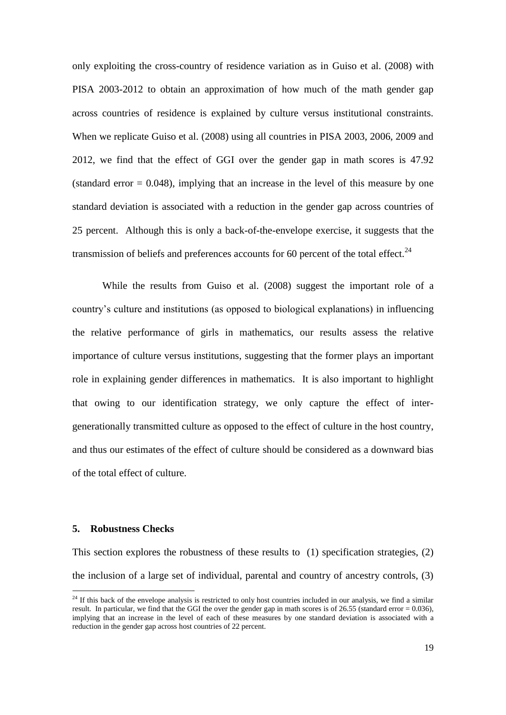only exploiting the cross-country of residence variation as in Guiso et al. (2008) with PISA 2003-2012 to obtain an approximation of how much of the math gender gap across countries of residence is explained by culture versus institutional constraints. When we replicate Guiso et al. (2008) using all countries in PISA 2003, 2006, 2009 and 2012, we find that the effect of GGI over the gender gap in math scores is 47.92 (standard error  $= 0.048$ ), implying that an increase in the level of this measure by one standard deviation is associated with a reduction in the gender gap across countries of 25 percent. Although this is only a back-of-the-envelope exercise, it suggests that the transmission of beliefs and preferences accounts for 60 percent of the total effect.<sup>24</sup>

While the results from Guiso et al. (2008) suggest the important role of a country's culture and institutions (as opposed to biological explanations) in influencing the relative performance of girls in mathematics, our results assess the relative importance of culture versus institutions, suggesting that the former plays an important role in explaining gender differences in mathematics. It is also important to highlight that owing to our identification strategy, we only capture the effect of intergenerationally transmitted culture as opposed to the effect of culture in the host country, and thus our estimates of the effect of culture should be considered as a downward bias of the total effect of culture.

#### **5. Robustness Checks**

1

This section explores the robustness of these results to (1) specification strategies, (2) the inclusion of a large set of individual, parental and country of ancestry controls, (3)

 $24$  If this back of the envelope analysis is restricted to only host countries included in our analysis, we find a similar result. In particular, we find that the GGI the over the gender gap in math scores is of 26.55 (standard error = 0.036), implying that an increase in the level of each of these measures by one standard deviation is associated with a reduction in the gender gap across host countries of 22 percent.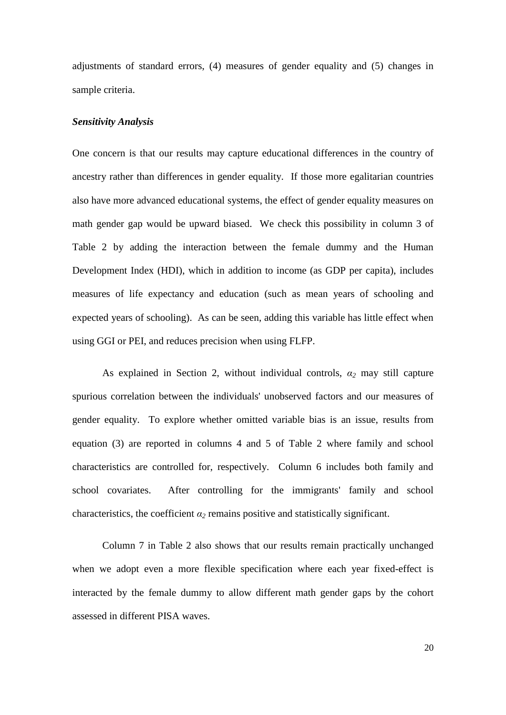adjustments of standard errors, (4) measures of gender equality and (5) changes in sample criteria.

#### *Sensitivity Analysis*

One concern is that our results may capture educational differences in the country of ancestry rather than differences in gender equality. If those more egalitarian countries also have more advanced educational systems, the effect of gender equality measures on math gender gap would be upward biased. We check this possibility in column 3 of Table 2 by adding the interaction between the female dummy and the Human Development Index (HDI), which in addition to income (as GDP per capita), includes measures of life expectancy and education (such as mean years of schooling and expected years of schooling). As can be seen, adding this variable has little effect when using GGI or PEI, and reduces precision when using FLFP.

As explained in Section 2, without individual controls, *α<sup>2</sup>* may still capture spurious correlation between the individuals' unobserved factors and our measures of gender equality. To explore whether omitted variable bias is an issue, results from equation (3) are reported in columns 4 and 5 of Table 2 where family and school characteristics are controlled for, respectively. Column 6 includes both family and school covariates. After controlling for the immigrants' family and school characteristics, the coefficient  $\alpha_2$  remains positive and statistically significant.

Column 7 in Table 2 also shows that our results remain practically unchanged when we adopt even a more flexible specification where each year fixed-effect is interacted by the female dummy to allow different math gender gaps by the cohort assessed in different PISA waves.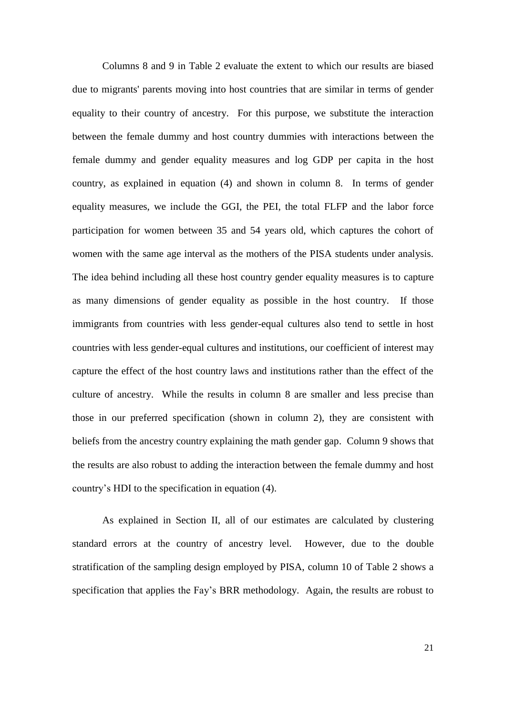Columns 8 and 9 in Table 2 evaluate the extent to which our results are biased due to migrants' parents moving into host countries that are similar in terms of gender equality to their country of ancestry. For this purpose, we substitute the interaction between the female dummy and host country dummies with interactions between the female dummy and gender equality measures and log GDP per capita in the host country, as explained in equation (4) and shown in column 8. In terms of gender equality measures, we include the GGI, the PEI, the total FLFP and the labor force participation for women between 35 and 54 years old, which captures the cohort of women with the same age interval as the mothers of the PISA students under analysis. The idea behind including all these host country gender equality measures is to capture as many dimensions of gender equality as possible in the host country. If those immigrants from countries with less gender-equal cultures also tend to settle in host countries with less gender-equal cultures and institutions, our coefficient of interest may capture the effect of the host country laws and institutions rather than the effect of the culture of ancestry. While the results in column 8 are smaller and less precise than those in our preferred specification (shown in column 2), they are consistent with beliefs from the ancestry country explaining the math gender gap. Column 9 shows that the results are also robust to adding the interaction between the female dummy and host country's HDI to the specification in equation (4).

As explained in Section II, all of our estimates are calculated by clustering standard errors at the country of ancestry level. However, due to the double stratification of the sampling design employed by PISA, column 10 of Table 2 shows a specification that applies the Fay's BRR methodology. Again, the results are robust to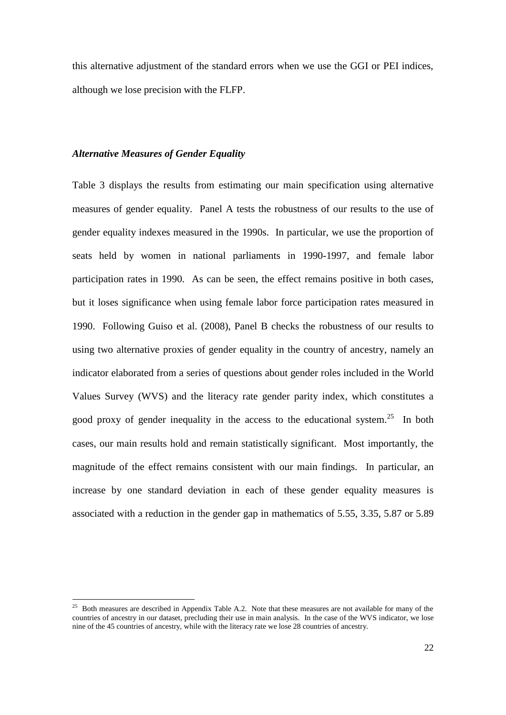this alternative adjustment of the standard errors when we use the GGI or PEI indices, although we lose precision with the FLFP.

#### *Alternative Measures of Gender Equality*

<u>.</u>

Table 3 displays the results from estimating our main specification using alternative measures of gender equality. Panel A tests the robustness of our results to the use of gender equality indexes measured in the 1990s. In particular, we use the proportion of seats held by women in national parliaments in 1990-1997, and female labor participation rates in 1990. As can be seen, the effect remains positive in both cases, but it loses significance when using female labor force participation rates measured in 1990. Following Guiso et al. (2008), Panel B checks the robustness of our results to using two alternative proxies of gender equality in the country of ancestry, namely an indicator elaborated from a series of questions about gender roles included in the World Values Survey (WVS) and the literacy rate gender parity index, which constitutes a good proxy of gender inequality in the access to the educational system.<sup>25</sup> In both cases, our main results hold and remain statistically significant. Most importantly, the magnitude of the effect remains consistent with our main findings. In particular, an increase by one standard deviation in each of these gender equality measures is associated with a reduction in the gender gap in mathematics of 5.55, 3.35, 5.87 or 5.89

<sup>&</sup>lt;sup>25</sup> Both measures are described in Appendix Table A.2. Note that these measures are not available for many of the countries of ancestry in our dataset, precluding their use in main analysis. In the case of the WVS indicator, we lose nine of the 45 countries of ancestry, while with the literacy rate we lose 28 countries of ancestry.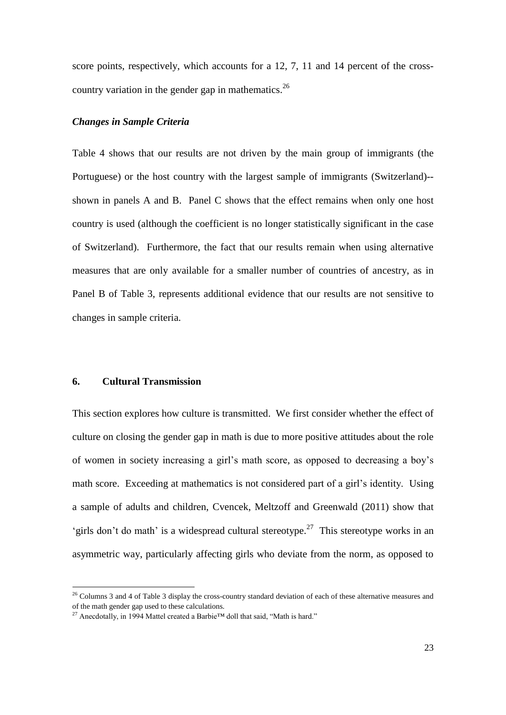score points, respectively, which accounts for a 12, 7, 11 and 14 percent of the crosscountry variation in the gender gap in mathematics.<sup>26</sup>

#### *Changes in Sample Criteria*

Table 4 shows that our results are not driven by the main group of immigrants (the Portuguese) or the host country with the largest sample of immigrants (Switzerland)- shown in panels A and B. Panel C shows that the effect remains when only one host country is used (although the coefficient is no longer statistically significant in the case of Switzerland). Furthermore, the fact that our results remain when using alternative measures that are only available for a smaller number of countries of ancestry, as in Panel B of Table 3, represents additional evidence that our results are not sensitive to changes in sample criteria.

#### **6. Cultural Transmission**

<u>.</u>

This section explores how culture is transmitted. We first consider whether the effect of culture on closing the gender gap in math is due to more positive attitudes about the role of women in society increasing a girl's math score, as opposed to decreasing a boy's math score. Exceeding at mathematics is not considered part of a girl's identity. Using a sample of adults and children, Cvencek, Meltzoff and Greenwald (2011) show that 'girls don't do math' is a widespread cultural stereotype.<sup>27</sup> This stereotype works in an asymmetric way, particularly affecting girls who deviate from the norm, as opposed to

<sup>&</sup>lt;sup>26</sup> Columns 3 and 4 of Table 3 display the cross-country standard deviation of each of these alternative measures and of the math gender gap used to these calculations.

<sup>&</sup>lt;sup>27</sup> Anecdotally, in 1994 Mattel created a Barbie<sup>™</sup> doll that said, "Math is hard."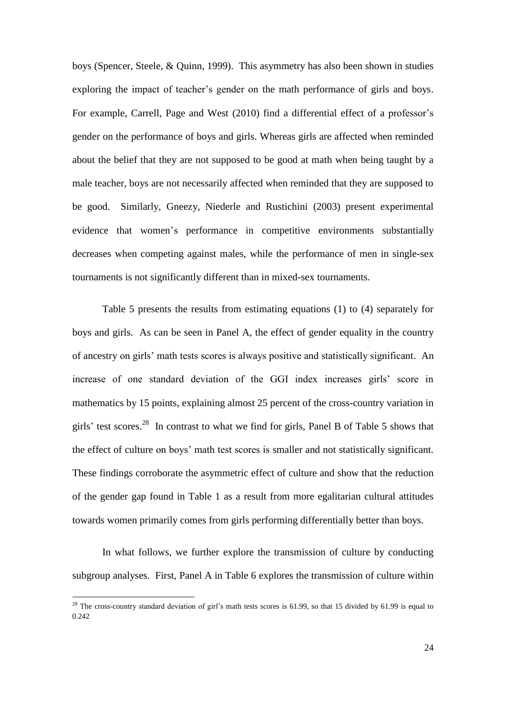boys (Spencer, Steele, & Quinn, 1999). This asymmetry has also been shown in studies exploring the impact of teacher's gender on the math performance of girls and boys. For example, Carrell, Page and West (2010) find a differential effect of a professor's gender on the performance of boys and girls. Whereas girls are affected when reminded about the belief that they are not supposed to be good at math when being taught by a male teacher, boys are not necessarily affected when reminded that they are supposed to be good. Similarly, Gneezy, Niederle and Rustichini (2003) present experimental evidence that women's performance in competitive environments substantially decreases when competing against males, while the performance of men in single-sex tournaments is not significantly different than in mixed-sex tournaments.

Table 5 presents the results from estimating equations (1) to (4) separately for boys and girls. As can be seen in Panel A, the effect of gender equality in the country of ancestry on girls' math tests scores is always positive and statistically significant. An increase of one standard deviation of the GGI index increases girls' score in mathematics by 15 points, explaining almost 25 percent of the cross-country variation in girls' test scores.<sup>28</sup> In contrast to what we find for girls, Panel B of Table 5 shows that the effect of culture on boys' math test scores is smaller and not statistically significant. These findings corroborate the asymmetric effect of culture and show that the reduction of the gender gap found in Table 1 as a result from more egalitarian cultural attitudes towards women primarily comes from girls performing differentially better than boys.

In what follows, we further explore the transmission of culture by conducting subgroup analyses. First, Panel A in Table 6 explores the transmission of culture within

<sup>&</sup>lt;sup>28</sup> The cross-country standard deviation of girl's math tests scores is 61.99, so that 15 divided by 61.99 is equal to 0.242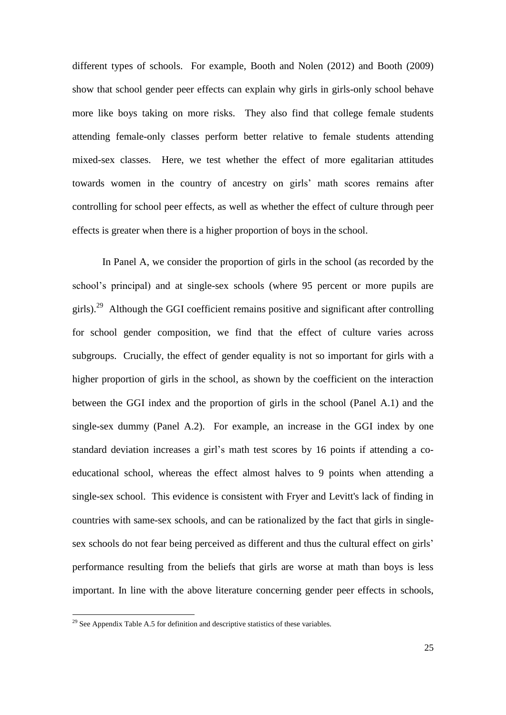different types of schools. For example, Booth and Nolen (2012) and Booth (2009) show that school gender peer effects can explain why girls in girls-only school behave more like boys taking on more risks. They also find that college female students attending female-only classes perform better relative to female students attending mixed-sex classes. Here, we test whether the effect of more egalitarian attitudes towards women in the country of ancestry on girls' math scores remains after controlling for school peer effects, as well as whether the effect of culture through peer effects is greater when there is a higher proportion of boys in the school.

In Panel A, we consider the proportion of girls in the school (as recorded by the school's principal) and at single-sex schools (where 95 percent or more pupils are girls).<sup>29</sup> Although the GGI coefficient remains positive and significant after controlling for school gender composition, we find that the effect of culture varies across subgroups. Crucially, the effect of gender equality is not so important for girls with a higher proportion of girls in the school, as shown by the coefficient on the interaction between the GGI index and the proportion of girls in the school (Panel A.1) and the single-sex dummy (Panel A.2). For example, an increase in the GGI index by one standard deviation increases a girl's math test scores by 16 points if attending a coeducational school, whereas the effect almost halves to 9 points when attending a single-sex school. This evidence is consistent with Fryer and Levitt's lack of finding in countries with same-sex schools, and can be rationalized by the fact that girls in singlesex schools do not fear being perceived as different and thus the cultural effect on girls' performance resulting from the beliefs that girls are worse at math than boys is less important. In line with the above literature concerning gender peer effects in schools,

1

 $^{29}$  See Appendix Table A.5 for definition and descriptive statistics of these variables.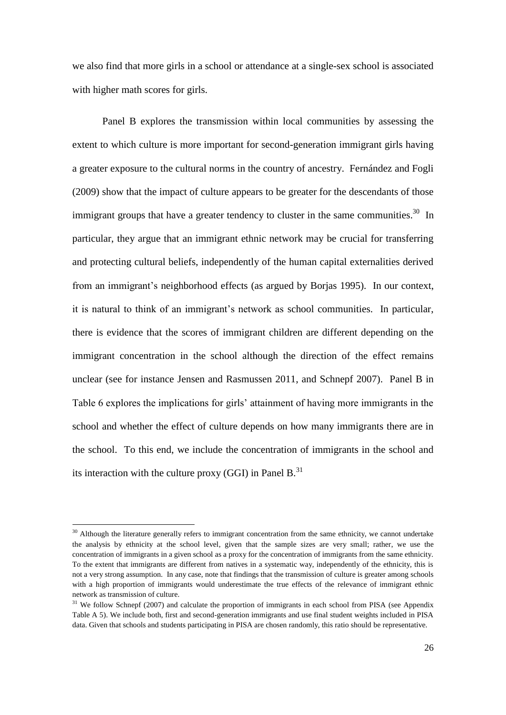we also find that more girls in a school or attendance at a single-sex school is associated with higher math scores for girls.

Panel B explores the transmission within local communities by assessing the extent to which culture is more important for second-generation immigrant girls having a greater exposure to the cultural norms in the country of ancestry. Fernández and Fogli (2009) show that the impact of culture appears to be greater for the descendants of those immigrant groups that have a greater tendency to cluster in the same communities.<sup>30</sup> In particular, they argue that an immigrant ethnic network may be crucial for transferring and protecting cultural beliefs, independently of the human capital externalities derived from an immigrant's neighborhood effects (as argued by Borjas 1995). In our context, it is natural to think of an immigrant's network as school communities. In particular, there is evidence that the scores of immigrant children are different depending on the immigrant concentration in the school although the direction of the effect remains unclear (see for instance Jensen and Rasmussen 2011, and Schnepf 2007). Panel B in Table 6 explores the implications for girls' attainment of having more immigrants in the school and whether the effect of culture depends on how many immigrants there are in the school. To this end, we include the concentration of immigrants in the school and its interaction with the culture proxy (GGI) in Panel  $B$ <sup>31</sup>

1

 $30$  Although the literature generally refers to immigrant concentration from the same ethnicity, we cannot undertake the analysis by ethnicity at the school level, given that the sample sizes are very small; rather, we use the concentration of immigrants in a given school as a proxy for the concentration of immigrants from the same ethnicity. To the extent that immigrants are different from natives in a systematic way, independently of the ethnicity, this is not a very strong assumption. In any case, note that findings that the transmission of culture is greater among schools with a high proportion of immigrants would underestimate the true effects of the relevance of immigrant ethnic network as transmission of culture.

<sup>&</sup>lt;sup>31</sup> We follow Schnepf (2007) and calculate the proportion of immigrants in each school from PISA (see Appendix Table A 5). We include both, first and second-generation immigrants and use final student weights included in PISA data. Given that schools and students participating in PISA are chosen randomly, this ratio should be representative.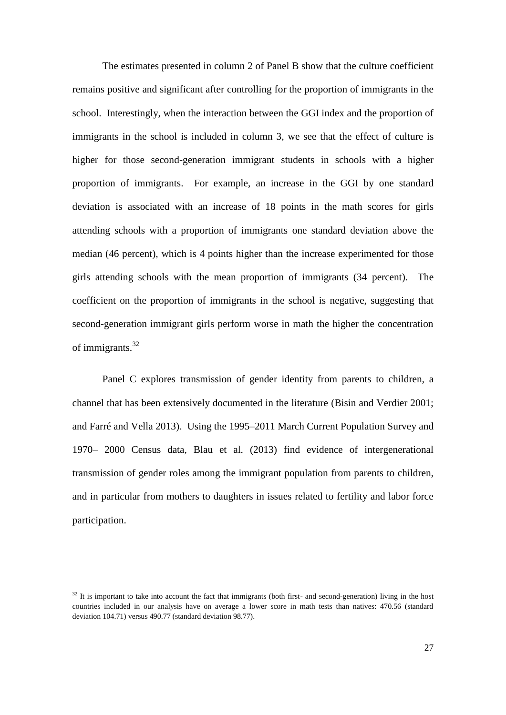The estimates presented in column 2 of Panel B show that the culture coefficient remains positive and significant after controlling for the proportion of immigrants in the school. Interestingly, when the interaction between the GGI index and the proportion of immigrants in the school is included in column 3, we see that the effect of culture is higher for those second-generation immigrant students in schools with a higher proportion of immigrants. For example, an increase in the GGI by one standard deviation is associated with an increase of 18 points in the math scores for girls attending schools with a proportion of immigrants one standard deviation above the median (46 percent), which is 4 points higher than the increase experimented for those girls attending schools with the mean proportion of immigrants (34 percent). The coefficient on the proportion of immigrants in the school is negative, suggesting that second-generation immigrant girls perform worse in math the higher the concentration of immigrants.<sup>32</sup>

Panel C explores transmission of gender identity from parents to children, a channel that has been extensively documented in the literature (Bisin and Verdier 2001; and Farré and Vella 2013). Using the 1995–2011 March Current Population Survey and 1970– 2000 Census data, Blau et al. (2013) find evidence of intergenerational transmission of gender roles among the immigrant population from parents to children, and in particular from mothers to daughters in issues related to fertility and labor force participation.

 $32$  It is important to take into account the fact that immigrants (both first- and second-generation) living in the host countries included in our analysis have on average a lower score in math tests than natives: 470.56 (standard deviation 104.71) versus 490.77 (standard deviation 98.77).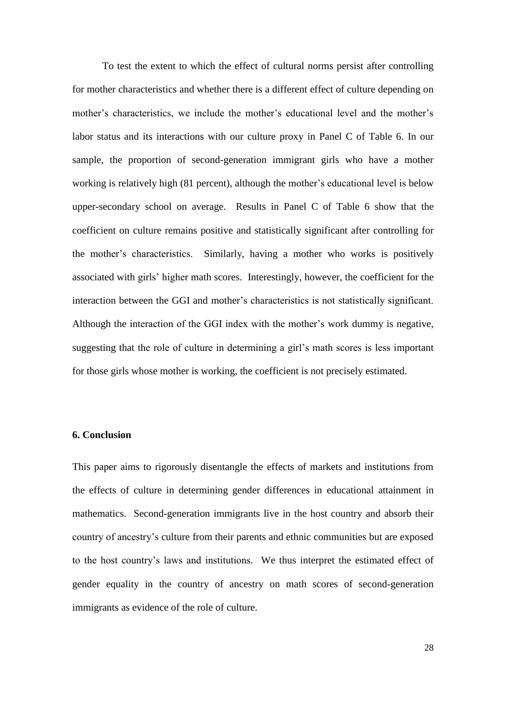To test the extent to which the effect of cultural norms persist after controlling for mother characteristics and whether there is a different effect of culture depending on mother's characteristics, we include the mother's educational level and the mother's labor status and its interactions with our culture proxy in Panel C of Table 6. In our sample, the proportion of second-generation immigrant girls who have a mother working is relatively high (81 percent), although the mother's educational level is below upper-secondary school on average. Results in Panel C of Table 6 show that the coefficient on culture remains positive and statistically significant after controlling for the mother's characteristics. Similarly, having a mother who works is positively associated with girls' higher math scores. Interestingly, however, the coefficient for the interaction between the GGI and mother's characteristics is not statistically significant. Although the interaction of the GGI index with the mother's work dummy is negative, suggesting that the role of culture in determining a girl's math scores is less important for those girls whose mother is working, the coefficient is not precisely estimated.

#### **6. Conclusion**

This paper aims to rigorously disentangle the effects of markets and institutions from the effects of culture in determining gender differences in educational attainment in mathematics. Second-generation immigrants live in the host country and absorb their country of ancestry's culture from their parents and ethnic communities but are exposed to the host country's laws and institutions. We thus interpret the estimated effect of gender equality in the country of ancestry on math scores of second-generation immigrants as evidence of the role of culture.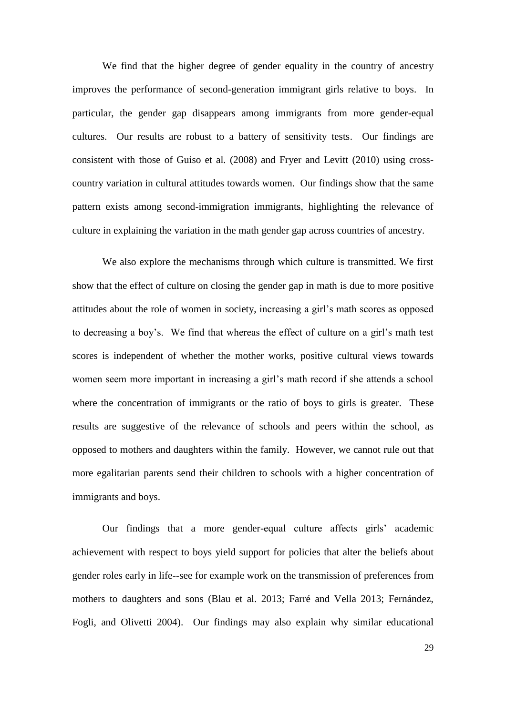We find that the higher degree of gender equality in the country of ancestry improves the performance of second-generation immigrant girls relative to boys. In particular, the gender gap disappears among immigrants from more gender-equal cultures. Our results are robust to a battery of sensitivity tests. Our findings are consistent with those of Guiso et al*.* (2008) and Fryer and Levitt (2010) using crosscountry variation in cultural attitudes towards women. Our findings show that the same pattern exists among second-immigration immigrants, highlighting the relevance of culture in explaining the variation in the math gender gap across countries of ancestry.

We also explore the mechanisms through which culture is transmitted. We first show that the effect of culture on closing the gender gap in math is due to more positive attitudes about the role of women in society, increasing a girl's math scores as opposed to decreasing a boy's. We find that whereas the effect of culture on a girl's math test scores is independent of whether the mother works, positive cultural views towards women seem more important in increasing a girl's math record if she attends a school where the concentration of immigrants or the ratio of boys to girls is greater. These results are suggestive of the relevance of schools and peers within the school, as opposed to mothers and daughters within the family. However, we cannot rule out that more egalitarian parents send their children to schools with a higher concentration of immigrants and boys.

Our findings that a more gender-equal culture affects girls' academic achievement with respect to boys yield support for policies that alter the beliefs about gender roles early in life--see for example work on the transmission of preferences from mothers to daughters and sons (Blau et al. 2013; Farré and Vella 2013; Fernández, Fogli, and Olivetti 2004). Our findings may also explain why similar educational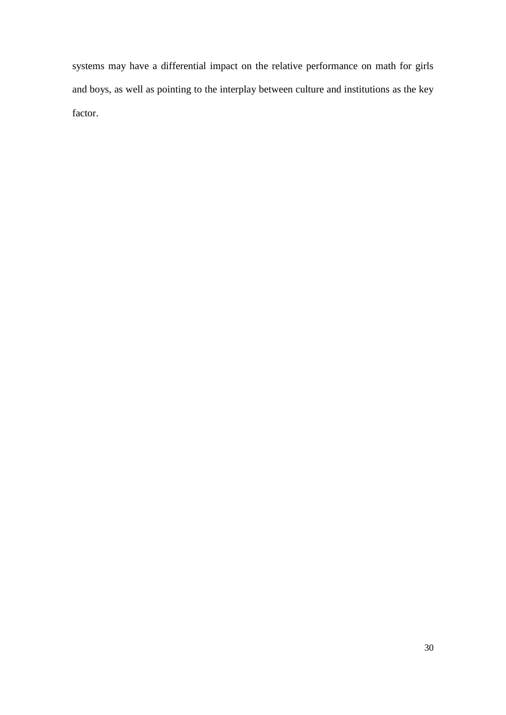systems may have a differential impact on the relative performance on math for girls and boys, as well as pointing to the interplay between culture and institutions as the key factor.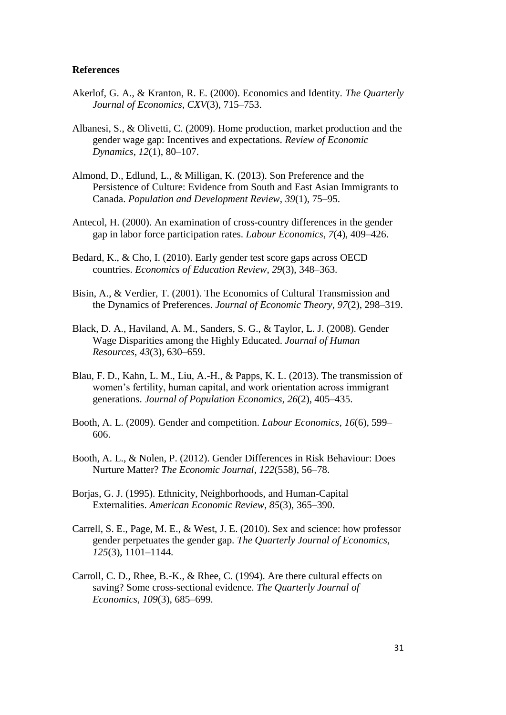#### **References**

- Akerlof, G. A., & Kranton, R. E. (2000). Economics and Identity. *The Quarterly Journal of Economics*, *CXV*(3), 715–753.
- Albanesi, S., & Olivetti, C. (2009). Home production, market production and the gender wage gap: Incentives and expectations. *Review of Economic Dynamics*, *12*(1), 80–107.
- Almond, D., Edlund, L., & Milligan, K. (2013). Son Preference and the Persistence of Culture: Evidence from South and East Asian Immigrants to Canada. *Population and Development Review*, *39*(1), 75–95.
- Antecol, H. (2000). An examination of cross-country differences in the gender gap in labor force participation rates. *Labour Economics*, *7*(4), 409–426.
- Bedard, K., & Cho, I. (2010). Early gender test score gaps across OECD countries. *Economics of Education Review*, *29*(3), 348–363.
- Bisin, A., & Verdier, T. (2001). The Economics of Cultural Transmission and the Dynamics of Preferences. *Journal of Economic Theory*, *97*(2), 298–319.
- Black, D. A., Haviland, A. M., Sanders, S. G., & Taylor, L. J. (2008). Gender Wage Disparities among the Highly Educated. *Journal of Human Resources*, *43*(3), 630–659.
- Blau, F. D., Kahn, L. M., Liu, A.-H., & Papps, K. L. (2013). The transmission of women's fertility, human capital, and work orientation across immigrant generations. *Journal of Population Economics*, *26*(2), 405–435.
- Booth, A. L. (2009). Gender and competition. *Labour Economics*, *16*(6), 599– 606.
- Booth, A. L., & Nolen, P. (2012). Gender Differences in Risk Behaviour: Does Nurture Matter? *The Economic Journal*, *122*(558), 56–78.
- Borjas, G. J. (1995). Ethnicity, Neighborhoods, and Human-Capital Externalities. *American Economic Review*, *85*(3), 365–390.
- Carrell, S. E., Page, M. E., & West, J. E. (2010). Sex and science: how professor gender perpetuates the gender gap. *The Quarterly Journal of Economics*, *125*(3), 1101–1144.
- Carroll, C. D., Rhee, B.-K., & Rhee, C. (1994). Are there cultural effects on saving? Some cross-sectional evidence. *The Quarterly Journal of Economics*, *109*(3), 685–699.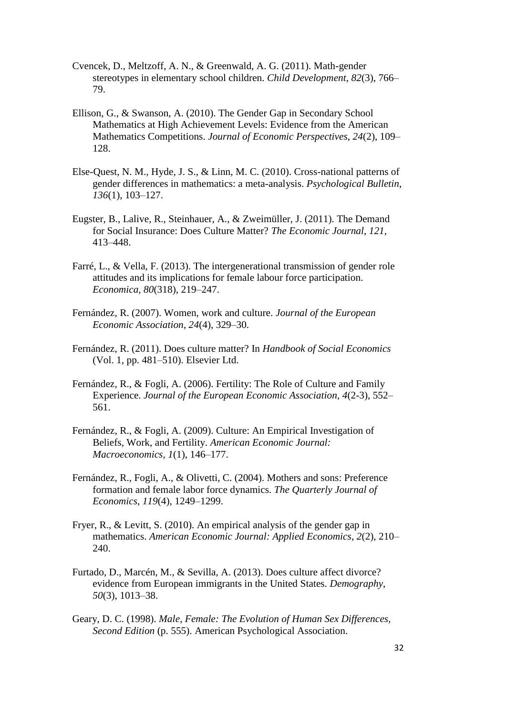- Cvencek, D., Meltzoff, A. N., & Greenwald, A. G. (2011). Math-gender stereotypes in elementary school children. *Child Development*, *82*(3), 766– 79.
- Ellison, G., & Swanson, A. (2010). The Gender Gap in Secondary School Mathematics at High Achievement Levels: Evidence from the American Mathematics Competitions. *Journal of Economic Perspectives*, *24*(2), 109– 128.
- Else-Quest, N. M., Hyde, J. S., & Linn, M. C. (2010). Cross-national patterns of gender differences in mathematics: a meta-analysis. *Psychological Bulletin*, *136*(1), 103–127.
- Eugster, B., Lalive, R., Steinhauer, A., & Zweimüller, J. (2011). The Demand for Social Insurance: Does Culture Matter? *The Economic Journal*, *121*, 413–448.
- Farré, L., & Vella, F. (2013). The intergenerational transmission of gender role attitudes and its implications for female labour force participation. *Economica*, *80*(318), 219–247.
- Fernández, R. (2007). Women, work and culture. *Journal of the European Economic Association*, *24*(4), 329–30.
- Fernández, R. (2011). Does culture matter? In *Handbook of Social Economics* (Vol. 1, pp. 481–510). Elsevier Ltd.
- Fernández, R., & Fogli, A. (2006). Fertility: The Role of Culture and Family Experience. *Journal of the European Economic Association*, *4*(2-3), 552– 561.
- Fernández, R., & Fogli, A. (2009). Culture: An Empirical Investigation of Beliefs, Work, and Fertility. *American Economic Journal: Macroeconomics*, *1*(1), 146–177.
- Fernández, R., Fogli, A., & Olivetti, C. (2004). Mothers and sons: Preference formation and female labor force dynamics. *The Quarterly Journal of Economics*, *119*(4), 1249–1299.
- Fryer, R., & Levitt, S. (2010). An empirical analysis of the gender gap in mathematics. *American Economic Journal: Applied Economics*, *2*(2), 210– 240.
- Furtado, D., Marcén, M., & Sevilla, A. (2013). Does culture affect divorce? evidence from European immigrants in the United States. *Demography*, *50*(3), 1013–38.
- Geary, D. C. (1998). *Male, Female: The Evolution of Human Sex Differences, Second Edition* (p. 555). American Psychological Association.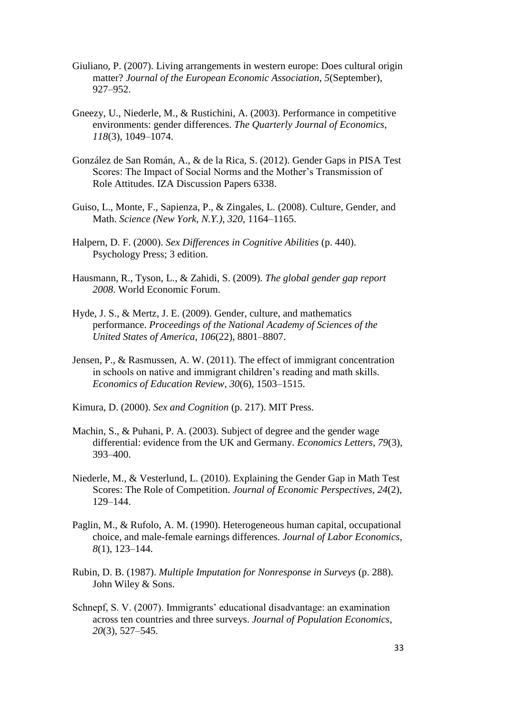- Giuliano, P. (2007). Living arrangements in western europe: Does cultural origin matter? *Journal of the European Economic Association*, *5*(September), 927–952.
- Gneezy, U., Niederle, M., & Rustichini, A. (2003). Performance in competitive environments: gender differences. *The Quarterly Journal of Economics*, *118*(3), 1049–1074.
- González de San Román, A., & de la Rica, S. (2012). Gender Gaps in PISA Test Scores: The Impact of Social Norms and the Mother's Transmission of Role Attitudes. IZA Discussion Papers 6338.
- Guiso, L., Monte, F., Sapienza, P., & Zingales, L. (2008). Culture, Gender, and Math. *Science (New York, N.Y.)*, *320*, 1164–1165.
- Halpern, D. F. (2000). *Sex Differences in Cognitive Abilities* (p. 440). Psychology Press; 3 edition.
- Hausmann, R., Tyson, L., & Zahidi, S. (2009). *The global gender gap report 2008*. World Economic Forum.
- Hyde, J. S., & Mertz, J. E. (2009). Gender, culture, and mathematics performance. *Proceedings of the National Academy of Sciences of the United States of America*, *106*(22), 8801–8807.
- Jensen, P., & Rasmussen, A. W. (2011). The effect of immigrant concentration in schools on native and immigrant children's reading and math skills. *Economics of Education Review*, *30*(6), 1503–1515.
- Kimura, D. (2000). *Sex and Cognition* (p. 217). MIT Press.
- Machin, S., & Puhani, P. A. (2003). Subject of degree and the gender wage differential: evidence from the UK and Germany. *Economics Letters*, *79*(3), 393–400.
- Niederle, M., & Vesterlund, L. (2010). Explaining the Gender Gap in Math Test Scores: The Role of Competition. *Journal of Economic Perspectives*, *24*(2), 129–144.
- Paglin, M., & Rufolo, A. M. (1990). Heterogeneous human capital, occupational choice, and male-female earnings differences. *Journal of Labor Economics*, *8*(1), 123–144.
- Rubin, D. B. (1987). *Multiple Imputation for Nonresponse in Surveys* (p. 288). John Wiley & Sons.
- Schnepf, S. V. (2007). Immigrants' educational disadvantage: an examination across ten countries and three surveys. *Journal of Population Economics*, *20*(3), 527–545.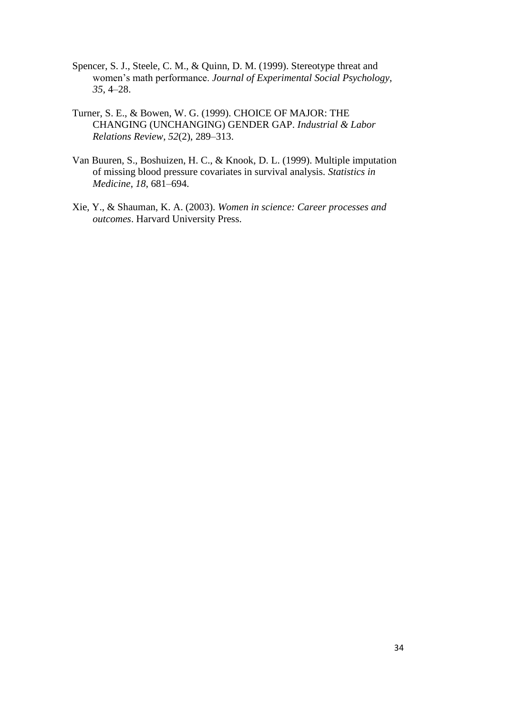- Spencer, S. J., Steele, C. M., & Quinn, D. M. (1999). Stereotype threat and women's math performance. *Journal of Experimental Social Psychology*, *35*, 4–28.
- Turner, S. E., & Bowen, W. G. (1999). CHOICE OF MAJOR: THE CHANGING (UNCHANGING) GENDER GAP. *Industrial & Labor Relations Review*, *52*(2), 289–313.
- Van Buuren, S., Boshuizen, H. C., & Knook, D. L. (1999). Multiple imputation of missing blood pressure covariates in survival analysis. *Statistics in Medicine*, *18*, 681–694.
- Xie, Y., & Shauman, K. A. (2003). *Women in science: Career processes and outcomes*. Harvard University Press.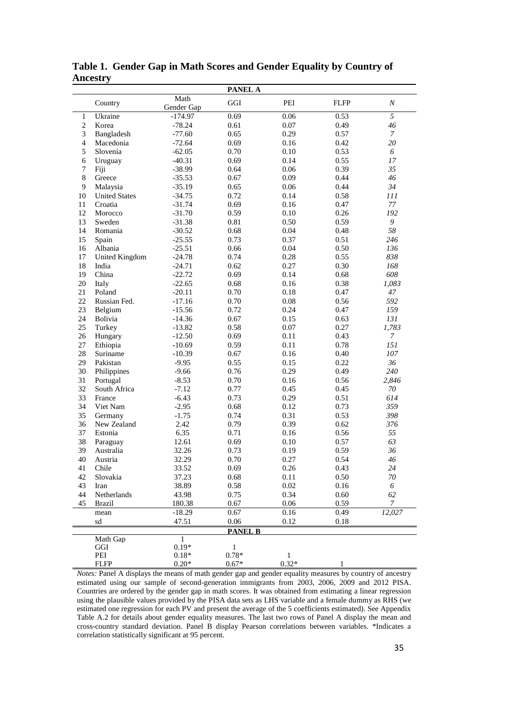|                |                       |                    | <b>PANEL A</b> |              |             |                  |
|----------------|-----------------------|--------------------|----------------|--------------|-------------|------------------|
|                | Country               | Math<br>Gender Gap | GGI            | PEI          | <b>FLFP</b> | $\boldsymbol{N}$ |
| $\mathbf{1}$   | Ukraine               | $-174.97$          | 0.69           | 0.06         | 0.53        | $\overline{5}$   |
| $\mathbf{2}$   | Korea                 | $-78.24$           | 0.61           | 0.07         | 0.49        | 46               |
| 3              | Bangladesh            | $-77.60$           | 0.65           | 0.29         | 0.57        | $\overline{7}$   |
| $\overline{4}$ | Macedonia             | $-72.64$           | 0.69           | 0.16         | 0.42        | 20               |
| 5              | Slovenia              | $-62.05$           | 0.70           | 0.10         | 0.53        | 6                |
| 6              | Uruguay               | $-40.31$           | 0.69           | 0.14         | 0.55        | 17               |
| 7              | Fiji                  | $-38.99$           | 0.64           | 0.06         | 0.39        | 35               |
| 8              | Greece                | $-35.53$           | 0.67           | 0.09         | 0.44        | 46               |
| 9              | Malaysia              | $-35.19$           | 0.65           | 0.06         | 0.44        | 34               |
| 10             | <b>United States</b>  | $-34.75$           | 0.72           | 0.14         | 0.58        | III              |
| 11             | Croatia               | $-31.74$           | 0.69           | 0.16         | 0.47        | 77               |
| 12             | Morocco               | $-31.70$           | 0.59           | 0.10         | 0.26        | 192              |
| 13             | Sweden                | $-31.38$           | 0.81           | 0.50         | 0.59        | 9                |
| 14             | Romania               | $-30.52$           | 0.68           | 0.04         | 0.48        | 58               |
| 15             | Spain                 | $-25.55$           | 0.73           | 0.37         | 0.51        | 246              |
| 16             | Albania               | $-25.51$           | 0.66           | 0.04         | 0.50        | 136              |
| 17             | <b>United Kingdom</b> | $-24.78$           | 0.74           | 0.28         | 0.55        | 838              |
| 18             | India                 | $-24.71$           | 0.62           | 0.27         | 0.30        | 168              |
| 19             | China                 | $-22.72$           | 0.69           | 0.14         | 0.68        | 608              |
| 20             | Italy                 | $-22.65$           | 0.68           | 0.16         | 0.38        | 1,083            |
| 21             | Poland                | $-20.11$           | 0.70           | 0.18         | 0.47        | 47               |
| 22             | Russian Fed.          | $-17.16$           | 0.70           | 0.08         | 0.56        | 592              |
| 23             | Belgium               | $-15.56$           | 0.72           | 0.24         | 0.47        | 159              |
| 24             | Bolivia               | $-14.36$           | 0.67           | 0.15         | 0.63        | 131              |
| 25             | Turkey                | $-13.82$           | 0.58           | 0.07         | 0.27        | 1,783            |
| 26             | Hungary               | $-12.50$           | 0.69           | 0.11         | 0.43        | $\overline{7}$   |
| 27             | Ethiopia              | $-10.69$           | 0.59           | 0.11         | 0.78        | 151              |
| 28             | Suriname              | $-10.39$           | 0.67           | 0.16         | 0.40        | 107              |
| 29             | Pakistan              | $-9.95$            | 0.55           | 0.15         | 0.22        | 36               |
| 30             | Philippines           | $-9.66$            | 0.76           | 0.29         | 0.49        | 240              |
| 31             | Portugal              | $-8.53$            | 0.70           | 0.16         | 0.56        | 2,846            |
| 32             | South Africa          | $-7.12$            | 0.77           | 0.45         | 0.45        | 70               |
| 33             | France                | $-6.43$            | 0.73           | 0.29         | 0.51        | 614              |
| 34             | Viet Nam              | $-2.95$            | 0.68           | 0.12         | 0.73        | 359              |
| 35             | Germany               | $-1.75$            | 0.74           | 0.31         | 0.53        | 398              |
| 36             | New Zealand           | 2.42               | 0.79           | 0.39         | 0.62        | 376              |
| 37             | Estonia               | 6.35               | 0.71           | 0.16         | 0.56        | 55               |
| 38             | Paraguay              | 12.61              | 0.69           | 0.10         | 0.57        | 63               |
| 39             | Australia             | 32.26              | 0.73           | 0.19         | 0.59        | 36               |
| 40             | Austria               | 32.29              | 0.70           | 0.27         | 0.54        | 46               |
| 41             | Chile                 | 33.52              | 0.69           | 0.26         | 0.43        | 24               |
| 42             | Slovakia              | 37.23              | 0.68           | 0.11         | 0.50        | 70               |
| 43             | Iran                  | 38.89              | 0.58           | $0.02\,$     | 0.16        | 6                |
| 44             | Netherlands           | 43.98              | 0.75           | 0.34         | 0.60        | 62               |
| 45             | <b>Brazil</b>         | 180.38             | 0.67           | 0.06         | 0.59        | $\mathcal{I}$    |
|                | mean                  | $-18.29$           | 0.67           | 0.16         | 0.49        | 12,027           |
|                | sd                    | 47.51              | $0.06\,$       | 0.12         | 0.18        |                  |
|                |                       |                    | <b>PANEL B</b> |              |             |                  |
|                | Math Gap              | $\mathbf{1}$       |                |              |             |                  |
|                | GGI                   | $0.19*$            | $\mathbf{1}$   |              |             |                  |
|                | PEI                   | $0.18*$            | $0.78*$        | $\mathbf{1}$ |             |                  |
|                | <b>FLFP</b>           | $0.20*$            | $0.67*$        | $0.32*$      | 1           |                  |

**Table 1. Gender Gap in Math Scores and Gender Equality by Country of Ancestry**

*Notes:* Panel A displays the means of math gender gap and gender equality measures by country of ancestry estimated using our sample of second-generation immigrants from 2003, 2006, 2009 and 2012 PISA. Countries are ordered by the gender gap in math scores. It was obtained from estimating a linear regression using the plausible values provided by the PISA data sets as LHS variable and a female dummy as RHS (we estimated one regression for each PV and present the average of the 5 coefficients estimated). See Appendix Table A.2 for details about gender equality measures. The last two rows of Panel A display the mean and cross-country standard deviation. Panel B display Pearson correlations between variables. \*Indicates a correlation statistically significant at 95 percent.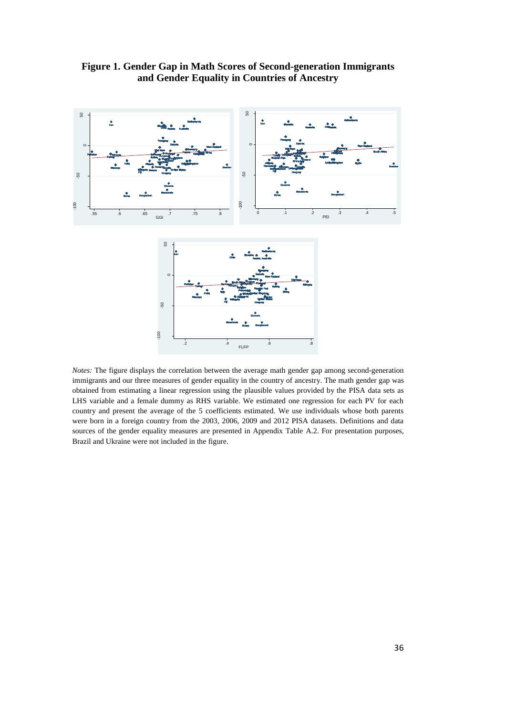

**Figure 1. Gender Gap in Math Scores of Second-generation Immigrants and Gender Equality in Countries of Ancestry**

*Notes:* The figure displays the correlation between the average math gender gap among second-generation immigrants and our three measures of gender equality in the country of ancestry. The math gender gap was obtained from estimating a linear regression using the plausible values provided by the PISA data sets as LHS variable and a female dummy as RHS variable. We estimated one regression for each PV for each country and present the average of the 5 coefficients estimated. We use individuals whose both parents were born in a foreign country from the 2003, 2006, 2009 and 2012 PISA datasets. Definitions and data sources of the gender equality measures are presented in Appendix Table A.2. For presentation purposes, Brazil and Ukraine were not included in the figure.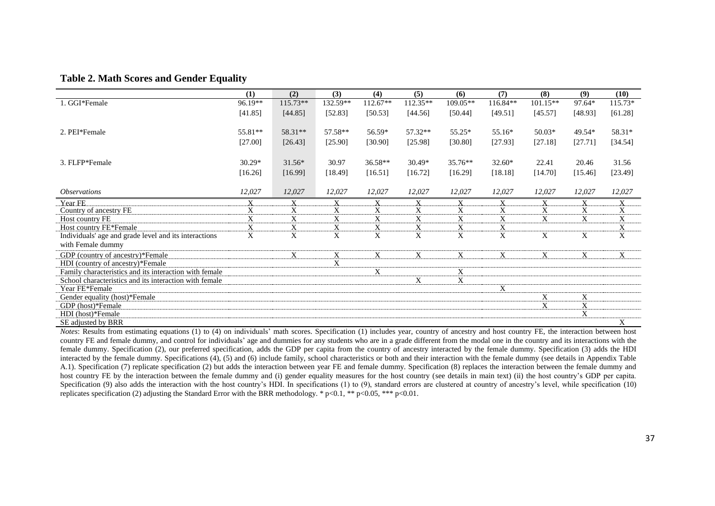#### **Table 2. Math Scores and Gender Equality**

|                                                        | (1)      | (2)        | (3)      | (4)       | (5)                       | (6)       | (7)         | (8)        | (9)         | (10)      |
|--------------------------------------------------------|----------|------------|----------|-----------|---------------------------|-----------|-------------|------------|-------------|-----------|
| 1. GGI*Female                                          | 96.19**  | $115.73**$ | 132.59** | 112.67**  | 112.35**                  | 109.05**  | 116.84**    | $101.15**$ | 97.64*      | $115.73*$ |
|                                                        | [41.85]  | [44.85]    | [52.83]  | [50.53]   | [44.56]                   | [50.44]   | [49.51]     | [45.57]    | [48.93]     | [61.28]   |
|                                                        |          |            |          |           |                           |           |             |            |             |           |
| 2. PEI*Female                                          | 55.81**  | 58.31**    | 57.58**  | 56.59*    | 57.32**                   | $55.25*$  | 55.16*      | $50.03*$   | 49.54*      | 58.31*    |
|                                                        | [27.00]  | [26.43]    | [25.90]  | [30.90]   | [25.98]                   | [30.80]   | [27.93]     | [27.18]    | [27.71]     | [34.54]   |
|                                                        |          |            |          |           |                           |           |             |            |             |           |
| 3. FLFP*Female                                         | $30.29*$ | 31.56*     | 30.97    | $36.58**$ | $30.49*$                  | $35.76**$ | $32.60*$    | 22.41      | 20.46       | 31.56     |
|                                                        | [16.26]  | [16.99]    | [18.49]  | [16.51]   | [16.72]                   | [16.29]   | [18.18]     | [14.70]    | [15.46]     | [23.49]   |
|                                                        |          |            |          |           |                           |           |             |            |             |           |
| <i><b>Observations</b></i>                             | 12,027   | 12,027     | 12,027   | 12,027    | 12,027                    | 12,027    | 12,027      | 12,027     | 12,027      | 12,027    |
| Year FE                                                | X        | X          | X        | X         | X                         | X         | X           | X          | X           | X         |
| Country of ancestry FE                                 | X        | X          | X        | X         | X                         | X         | X           | X          | X           | X         |
| Host country FE                                        | X        | X          | X        | X         | X                         | X         | X           | X          | X           | X         |
| Host country FE*Female                                 | X        | X          | X        | X         | X                         | X         | $\mathbf X$ |            |             | X         |
| Individuals' age and grade level and its interactions  | X        | X          | X        | X         | X                         | X         | X           | X          | X           | X         |
| with Female dummy                                      |          |            |          |           |                           |           |             |            |             |           |
| GDP (country of ancestry)*Female                       |          | X          | X        | X         | X                         | X         | X           | X          | X           | X         |
| HDI (country of ancestry)*Female                       |          |            | X        |           |                           |           |             |            |             |           |
| Family characteristics and its interaction with female |          |            |          | X         |                           | X         |             |            |             |           |
| School characteristics and its interaction with female |          |            |          |           | $\boldsymbol{\mathrm{X}}$ | X         |             |            |             |           |
| Year FE*Female                                         |          |            |          |           |                           |           | X           |            |             |           |
| Gender equality (host)*Female                          |          |            |          |           |                           |           |             | X          | X           |           |
| GDP (host)*Female                                      |          |            |          |           |                           |           |             | X          | $\mathbf X$ |           |
| HDI (host)*Female                                      |          |            |          |           |                           |           |             |            | X           |           |
| SE adjusted by BRR                                     |          |            |          |           |                           |           |             |            |             | X         |

*Notes*: Results from estimating equations (1) to (4) on individuals' math scores. Specification (1) includes year, country of ancestry and host country FE, the interaction between host country FE and female dummy, and control for individuals' age and dummies for any students who are in a grade different from the modal one in the country and its interactions with the female dummy. Specification (2), our preferred specification, adds the GDP per capita from the country of ancestry interacted by the female dummy. Specification (3) adds the HDI interacted by the female dummy. Specifications (4), (5) and (6) include family, school characteristics or both and their interaction with the female dummy (see details in Appendix Table A.1). Specification (7) replicate specification (2) but adds the interaction between year FE and female dummy. Specification (8) replaces the interaction between the female dummy and host country FE by the interaction between the female dummy and (i) gender equality measures for the host country (see details in main text) (ii) the host country's GDP per capita. Specification (9) also adds the interaction with the host country's HDI. In specifications (1) to (9), standard errors are clustered at country of ancestry's level, while specification (10) replicates specification (2) adjusting the Standard Error with the BRR methodology. \* p<0.1, \*\* p<0.05, \*\*\* p<0.01.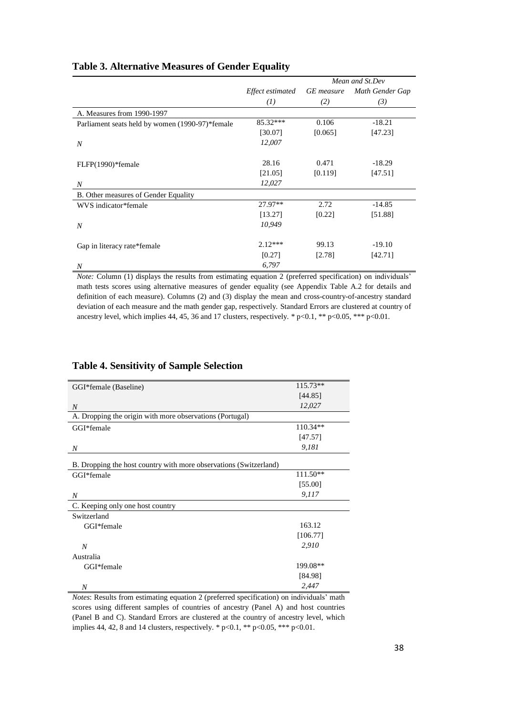|                                                 |                  | Mean and St.Dev   |                 |  |  |
|-------------------------------------------------|------------------|-------------------|-----------------|--|--|
|                                                 | Effect estimated | <b>GE</b> measure | Math Gender Gap |  |  |
|                                                 | (I)              | (2)               | (3)             |  |  |
| A. Measures from 1990-1997                      |                  |                   |                 |  |  |
| Parliament seats held by women (1990-97)*female | 85.32***         | 0.106             | $-18.21$        |  |  |
|                                                 | [30.07]          | [0.065]           | [47.23]         |  |  |
| $\boldsymbol{N}$                                | 12,007           |                   |                 |  |  |
|                                                 |                  |                   |                 |  |  |
| FLFP(1990)*female                               | 28.16            | 0.471             | $-18.29$        |  |  |
|                                                 | [21.05]          | [0.119]           | [47.51]         |  |  |
| N                                               | 12,027           |                   |                 |  |  |
| B. Other measures of Gender Equality            |                  |                   |                 |  |  |
| WVS indicator*female                            | 27.97**          | 2.72              | $-14.85$        |  |  |
|                                                 | [13.27]          | [0.22]            | [51.88]         |  |  |
| $\boldsymbol{N}$                                | 10,949           |                   |                 |  |  |
|                                                 |                  |                   |                 |  |  |
| Gap in literacy rate*female                     | $2.12***$        | 99.13             | $-19.10$        |  |  |
|                                                 | [0.27]           | [2.78]            | [42.71]         |  |  |
| $\boldsymbol{N}$                                | 6,797            |                   |                 |  |  |

#### **Table 3. Alternative Measures of Gender Equality**

*Note:* Column (1) displays the results from estimating equation 2 (preferred specification) on individuals' math tests scores using alternative measures of gender equality (see Appendix Table A.2 for details and definition of each measure). Columns (2) and (3) display the mean and cross-country-of-ancestry standard deviation of each measure and the math gender gap, respectively. Standard Errors are clustered at country of ancestry level, which implies 44, 45, 36 and 17 clusters, respectively. \*  $p<0.1$ , \*\*  $p<0.05$ , \*\*\*  $p<0.01$ .

#### GGI\*female (Baseline) 115.73\*\* [44.85] *N 12,027* A. Dropping the origin with more observations (Portugal) GGI\*female 110.34\*\* [47.57] *N 9,181* B. Dropping the host country with more observations (Switzerland) GGI\*female 111.50\*\* [55.00] *N 9,117* C. Keeping only one host country Switzerland GGI\*female 163.12 [106.77]  *N 2,910* Australia GGI\*female 199.08\*\* [84.98]  *N 2,447*

### **Table 4. Sensitivity of Sample Selection**

*Notes*: Results from estimating equation 2 (preferred specification) on individuals' math scores using different samples of countries of ancestry (Panel A) and host countries (Panel B and C). Standard Errors are clustered at the country of ancestry level, which implies 44, 42, 8 and 14 clusters, respectively. \*  $p<0.1$ , \*\*  $p<0.05$ , \*\*\*  $p<0.01$ .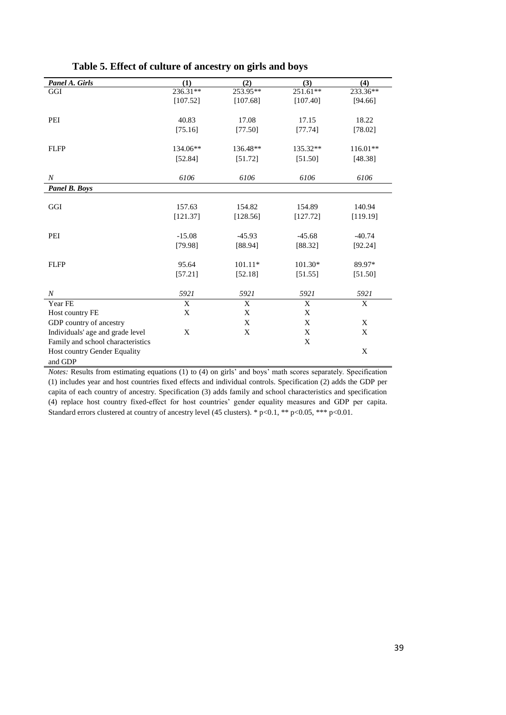| Panel A. Girls                    | (1)         | (2)         | (3)          | (4)         |
|-----------------------------------|-------------|-------------|--------------|-------------|
| GGI                               | 236.31**    | 253.95**    | 251.61**     | 233.36**    |
|                                   | [107.52]    | [107.68]    | [107.40]     | [94.66]     |
|                                   |             |             |              |             |
| PEI                               | 40.83       | 17.08       | 17.15        | 18.22       |
|                                   | [75.16]     | [77.50]     | [77.74]      | [78.02]     |
|                                   |             |             |              |             |
| <b>FLFP</b>                       | 134.06**    | 136.48**    | 135.32**     | $116.01**$  |
|                                   | [52.84]     | [51.72]     | [51.50]      | [48.38]     |
|                                   |             |             |              |             |
| $\boldsymbol{N}$                  | 6106        | 6106        | 6106         | 6106        |
| <b>Panel B. Boys</b>              |             |             |              |             |
|                                   |             |             |              |             |
| GGI                               | 157.63      | 154.82      | 154.89       | 140.94      |
|                                   | [121.37]    | [128.56]    | [127.72]     | [119.19]    |
|                                   |             |             |              |             |
| PEI                               | $-15.08$    | $-45.93$    | $-45.68$     | $-40.74$    |
|                                   | [79.98]     | [88.94]     | [88.32]      | [92.24]     |
| <b>FLFP</b>                       | 95.64       | $101.11*$   | $101.30*$    | 89.97*      |
|                                   | [57.21]     | [52.18]     | [51.55]      | [51.50]     |
|                                   |             |             |              |             |
| $\boldsymbol{N}$                  | 5921        | 5921        | 5921         | 5921        |
| Year FE                           | $\mathbf X$ | $\mathbf X$ | $\mathbf{X}$ | $\mathbf X$ |
| Host country FE                   | X           | $\mathbf X$ | X            |             |
| GDP country of ancestry           |             | X           | X            | X           |
| Individuals' age and grade level  | X           | X           | X            | X           |
| Family and school characteristics |             |             | X            |             |
| Host country Gender Equality      |             |             |              | X           |
| and GDP                           |             |             |              |             |

**Table 5. Effect of culture of ancestry on girls and boys**

*Notes:* Results from estimating equations (1) to (4) on girls' and boys' math scores separately. Specification (1) includes year and host countries fixed effects and individual controls. Specification (2) adds the GDP per capita of each country of ancestry. Specification (3) adds family and school characteristics and specification (4) replace host country fixed-effect for host countries' gender equality measures and GDP per capita. Standard errors clustered at country of ancestry level (45 clusters). \* p<0.1, \*\* p<0.05, \*\*\* p<0.01.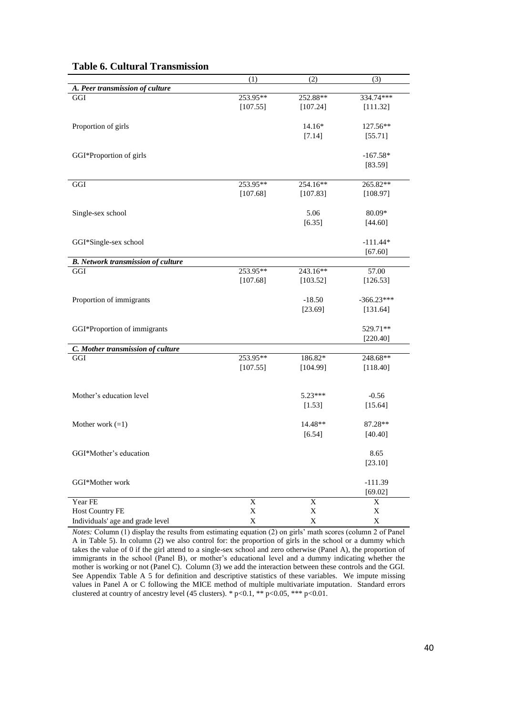|                                           | (1)         | (2)            | (3)          |
|-------------------------------------------|-------------|----------------|--------------|
| A. Peer transmission of culture           |             |                |              |
| GGI                                       | 253.95**    | 252.88**       | 334.74***    |
|                                           | [107.55]    | [107.24]       | [111.32]     |
|                                           |             |                |              |
| Proportion of girls                       |             | 14.16*         | 127.56**     |
|                                           |             | [7.14]         | [55.71]      |
| GGI*Proportion of girls                   |             |                | $-167.58*$   |
|                                           |             |                | [83.59]      |
|                                           |             |                |              |
| GGI                                       | 253.95**    | 254.16**       | 265.82**     |
|                                           | [107.68]    | [107.83]       | [108.97]     |
|                                           |             |                |              |
| Single-sex school                         |             | 5.06           | 80.09*       |
|                                           |             | [6.35]         | [44.60]      |
| GGI*Single-sex school                     |             |                | $-111.44*$   |
|                                           |             |                | [67.60]      |
| <b>B.</b> Network transmission of culture |             |                |              |
| GGI                                       | 253.95**    | 243.16**       | 57.00        |
|                                           | [107.68]    | [103.52]       | [126.53]     |
|                                           |             |                |              |
| Proportion of immigrants                  |             | $-18.50$       | $-366.23***$ |
|                                           |             | [23.69]        | [131.64]     |
|                                           |             |                |              |
| GGI*Proportion of immigrants              |             |                | 529.71**     |
|                                           |             |                | [220.40]     |
| C. Mother transmission of culture         |             |                |              |
| GGI                                       | 253.95**    | 186.82*        | 248.68**     |
|                                           | [107.55]    | [104.99]       | [118.40]     |
|                                           |             |                |              |
| Mother's education level                  |             | 5.23***        | $-0.56$      |
|                                           |             | [1.53]         | [15.64]      |
| Mother work $(=1)$                        |             | 14.48**        | 87.28**      |
|                                           |             | [6.54]         |              |
|                                           |             |                | [40.40]      |
| GGI*Mother's education                    |             |                | 8.65         |
|                                           |             |                | [23.10]      |
|                                           |             |                |              |
| GGI*Mother work                           |             |                | $-111.39$    |
|                                           |             |                | [69.02]      |
| Year FE                                   | X           | $\overline{X}$ | X            |
| <b>Host Country FE</b>                    | $\mathbf X$ | $\mathbf X$    | $\mathbf X$  |
| Individuals' age and grade level          | $\mathbf X$ | $\mathbf X$    | $\mathbf X$  |

#### **Table 6. Cultural Transmission**

*Notes:* Column (1) display the results from estimating equation (2) on girls' math scores (column 2 of Panel A in Table 5). In column (2) we also control for: the proportion of girls in the school or a dummy which takes the value of 0 if the girl attend to a single-sex school and zero otherwise (Panel A), the proportion of immigrants in the school (Panel B), or mother's educational level and a dummy indicating whether the mother is working or not (Panel C). Column (3) we add the interaction between these controls and the GGI. See Appendix Table A 5 for definition and descriptive statistics of these variables. We impute missing values in Panel A or C following the MICE method of multiple multivariate imputation. Standard errors clustered at country of ancestry level (45 clusters). \*  $p<0.1$ , \*\*  $p<0.05$ , \*\*\*  $p<0.01$ .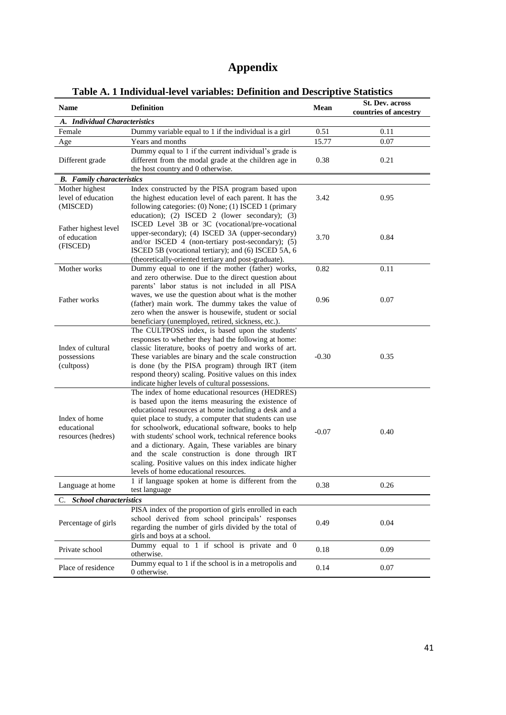## **Appendix**

| <b>Name</b>                      | marriaga icrei ramabico, Deminion and Descriptive Diamones<br><b>Definition</b>                           | Mean    | <b>St. Dev. across</b> |
|----------------------------------|-----------------------------------------------------------------------------------------------------------|---------|------------------------|
| A. Individual Characteristics    |                                                                                                           |         | countries of ancestry  |
| Female                           | Dummy variable equal to 1 if the individual is a girl                                                     | 0.51    | 0.11                   |
| Age                              | Years and months                                                                                          | 15.77   | 0.07                   |
|                                  | Dummy equal to 1 if the current individual's grade is                                                     |         |                        |
| Different grade                  | different from the modal grade at the children age in                                                     | 0.38    | 0.21                   |
|                                  | the host country and 0 otherwise.                                                                         |         |                        |
| <b>B.</b> Family characteristics |                                                                                                           |         |                        |
| Mother highest                   | Index constructed by the PISA program based upon                                                          |         |                        |
| level of education               | the highest education level of each parent. It has the                                                    | 3.42    | 0.95                   |
| (MISCED)                         | following categories: (0) None; (1) ISCED 1 (primary                                                      |         |                        |
|                                  | education); (2) ISCED 2 (lower secondary); (3)                                                            |         |                        |
| Father highest level             | ISCED Level 3B or 3C (vocational/pre-vocational                                                           |         |                        |
| of education                     | upper-secondary); (4) ISCED 3A (upper-secondary)                                                          | 3.70    | 0.84                   |
| (FISCED)                         | and/or ISCED 4 (non-tertiary post-secondary); (5)                                                         |         |                        |
|                                  | ISCED 5B (vocational tertiary); and (6) ISCED 5A, 6                                                       |         |                        |
|                                  | (theoretically-oriented tertiary and post-graduate).                                                      |         |                        |
| Mother works                     | Dummy equal to one if the mother (father) works,                                                          | 0.82    | 0.11                   |
|                                  | and zero otherwise. Due to the direct question about                                                      |         |                        |
|                                  | parents' labor status is not included in all PISA                                                         |         |                        |
| Father works                     | waves, we use the question about what is the mother                                                       | 0.96    | 0.07                   |
|                                  | (father) main work. The dummy takes the value of                                                          |         |                        |
|                                  | zero when the answer is housewife, student or social                                                      |         |                        |
|                                  | beneficiary (unemployed, retired, sickness, etc.).                                                        |         |                        |
|                                  | The CULTPOSS index, is based upon the students'                                                           |         |                        |
|                                  | responses to whether they had the following at home:                                                      |         |                        |
| Index of cultural                | classic literature, books of poetry and works of art.                                                     |         | 0.35                   |
| possessions                      | These variables are binary and the scale construction                                                     | $-0.30$ |                        |
| (cultposs)                       | is done (by the PISA program) through IRT (item<br>respond theory) scaling. Positive values on this index |         |                        |
|                                  | indicate higher levels of cultural possessions.                                                           |         |                        |
|                                  | The index of home educational resources (HEDRES)                                                          |         |                        |
|                                  | is based upon the items measuring the existence of                                                        |         |                        |
|                                  | educational resources at home including a desk and a                                                      |         |                        |
| Index of home                    | quiet place to study, a computer that students can use                                                    |         |                        |
| educational                      | for schoolwork, educational software, books to help                                                       |         |                        |
| resources (hedres)               | with students' school work, technical reference books                                                     | $-0.07$ | 0.40                   |
|                                  | and a dictionary. Again, These variables are binary                                                       |         |                        |
|                                  | and the scale construction is done through IRT                                                            |         |                        |
|                                  | scaling. Positive values on this index indicate higher                                                    |         |                        |
|                                  | levels of home educational resources.                                                                     |         |                        |
|                                  | 1 if language spoken at home is different from the                                                        |         |                        |
| Language at home                 | test language                                                                                             | 0.38    | 0.26                   |
| C. School characteristics        |                                                                                                           |         |                        |
|                                  | PISA index of the proportion of girls enrolled in each                                                    |         |                        |
|                                  | school derived from school principals' responses                                                          |         |                        |
| Percentage of girls              | regarding the number of girls divided by the total of                                                     | 0.49    | 0.04                   |
|                                  | girls and boys at a school.                                                                               |         |                        |
| Private school                   | Dummy equal to 1 if school is private and 0                                                               | 0.18    | 0.09                   |
|                                  | otherwise.                                                                                                |         |                        |
| Place of residence               | Dummy equal to 1 if the school is in a metropolis and                                                     | 0.14    | 0.07                   |
|                                  | 0 otherwise.                                                                                              |         |                        |

### **Table A. 1 Individual-level variables: Definition and Descriptive Statistics**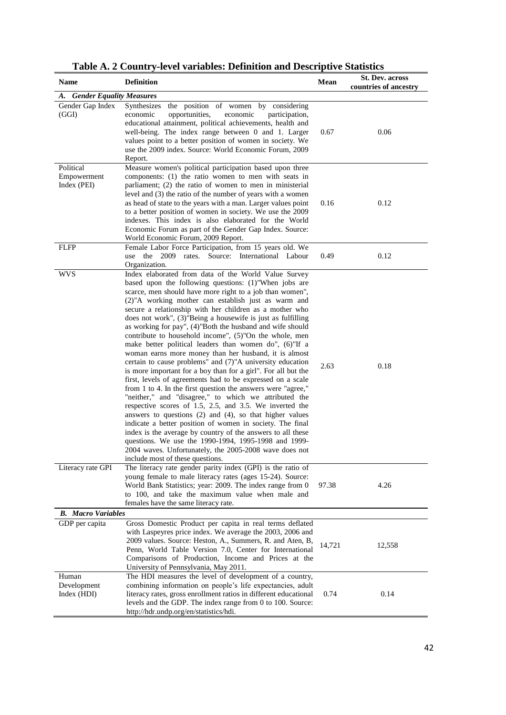| <b>Name</b>                             | <b>Definition</b>                                                                                                                                                                                                                                                                                                                                                                                                                                                                                                                                                                                                                                                                                                                                                                                                                                                                                                                                                                                                                                                                                                                                                                                                                                                                                                                      | Mean   | <b>St. Dev. across</b><br>countries of ancestry |
|-----------------------------------------|----------------------------------------------------------------------------------------------------------------------------------------------------------------------------------------------------------------------------------------------------------------------------------------------------------------------------------------------------------------------------------------------------------------------------------------------------------------------------------------------------------------------------------------------------------------------------------------------------------------------------------------------------------------------------------------------------------------------------------------------------------------------------------------------------------------------------------------------------------------------------------------------------------------------------------------------------------------------------------------------------------------------------------------------------------------------------------------------------------------------------------------------------------------------------------------------------------------------------------------------------------------------------------------------------------------------------------------|--------|-------------------------------------------------|
| A. Gender Equality Measures             |                                                                                                                                                                                                                                                                                                                                                                                                                                                                                                                                                                                                                                                                                                                                                                                                                                                                                                                                                                                                                                                                                                                                                                                                                                                                                                                                        |        |                                                 |
| Gender Gap Index<br>(GGI)               | the position of women by considering<br>Synthesizes<br>economic<br>opportunities,<br>participation,<br>economic<br>educational attainment, political achievements, health and<br>well-being. The index range between 0 and 1. Larger<br>values point to a better position of women in society. We<br>use the 2009 index. Source: World Economic Forum, 2009<br>Report.                                                                                                                                                                                                                                                                                                                                                                                                                                                                                                                                                                                                                                                                                                                                                                                                                                                                                                                                                                 | 0.67   | 0.06                                            |
| Political<br>Empowerment<br>Index (PEI) | Measure women's political participation based upon three<br>components: (1) the ratio women to men with seats in<br>parliament; (2) the ratio of women to men in ministerial<br>level and (3) the ratio of the number of years with a women<br>as head of state to the years with a man. Larger values point<br>to a better position of women in society. We use the 2009<br>indexes. This index is also elaborated for the World<br>Economic Forum as part of the Gender Gap Index. Source:<br>World Economic Forum, 2009 Report.                                                                                                                                                                                                                                                                                                                                                                                                                                                                                                                                                                                                                                                                                                                                                                                                     | 0.16   | 0.12                                            |
| <b>FLFP</b>                             | Female Labor Force Participation, from 15 years old. We<br>use the 2009 rates. Source: International Labour<br>Organization.                                                                                                                                                                                                                                                                                                                                                                                                                                                                                                                                                                                                                                                                                                                                                                                                                                                                                                                                                                                                                                                                                                                                                                                                           | 0.49   | 0.12                                            |
| <b>WVS</b>                              | Index elaborated from data of the World Value Survey<br>based upon the following questions: (1)"When jobs are<br>scarce, men should have more right to a job than women",<br>(2)"A working mother can establish just as warm and<br>secure a relationship with her children as a mother who<br>does not work", (3)"Being a housewife is just as fulfilling<br>as working for pay", (4)"Both the husband and wife should<br>contribute to household income", (5)"On the whole, men<br>make better political leaders than women do", (6)"If a<br>woman earns more money than her husband, it is almost<br>certain to cause problems" and (7)"A university education<br>is more important for a boy than for a girl". For all but the<br>first, levels of agreements had to be expressed on a scale<br>from 1 to 4. In the first question the answers were "agree,"<br>"neither," and "disagree," to which we attributed the<br>respective scores of 1.5, 2.5, and 3.5. We inverted the<br>answers to questions $(2)$ and $(4)$ , so that higher values<br>indicate a better position of women in society. The final<br>index is the average by country of the answers to all these<br>questions. We use the 1990-1994, 1995-1998 and 1999-<br>2004 waves. Unfortunately, the 2005-2008 wave does not<br>include most of these questions. | 2.63   | 0.18                                            |
| Literacy rate GPI                       | The literacy rate gender parity index (GPI) is the ratio of<br>young female to male literacy rates (ages 15-24). Source:<br>World Bank Statistics; year: 2009. The index range from 0<br>to 100, and take the maximum value when male and<br>females have the same literacy rate.                                                                                                                                                                                                                                                                                                                                                                                                                                                                                                                                                                                                                                                                                                                                                                                                                                                                                                                                                                                                                                                      | 97.38  | 4.26                                            |
| <b>B.</b> Macro Variables               |                                                                                                                                                                                                                                                                                                                                                                                                                                                                                                                                                                                                                                                                                                                                                                                                                                                                                                                                                                                                                                                                                                                                                                                                                                                                                                                                        |        |                                                 |
| GDP per capita                          | Gross Domestic Product per capita in real terms deflated<br>with Laspeyres price index. We average the 2003, 2006 and<br>2009 values. Source: Heston, A., Summers, R. and Aten, B,<br>Penn, World Table Version 7.0, Center for International<br>Comparisons of Production, Income and Prices at the<br>University of Pennsylvania, May 2011.                                                                                                                                                                                                                                                                                                                                                                                                                                                                                                                                                                                                                                                                                                                                                                                                                                                                                                                                                                                          | 14,721 | 12,558                                          |
| Human<br>Development<br>Index (HDI)     | The HDI measures the level of development of a country,<br>combining information on people's life expectancies, adult<br>literacy rates, gross enrollment ratios in different educational<br>levels and the GDP. The index range from 0 to 100. Source:<br>http://hdr.undp.org/en/statistics/hdi.                                                                                                                                                                                                                                                                                                                                                                                                                                                                                                                                                                                                                                                                                                                                                                                                                                                                                                                                                                                                                                      | 0.74   | 0.14                                            |

**Table A. 2 Country-level variables: Definition and Descriptive Statistics**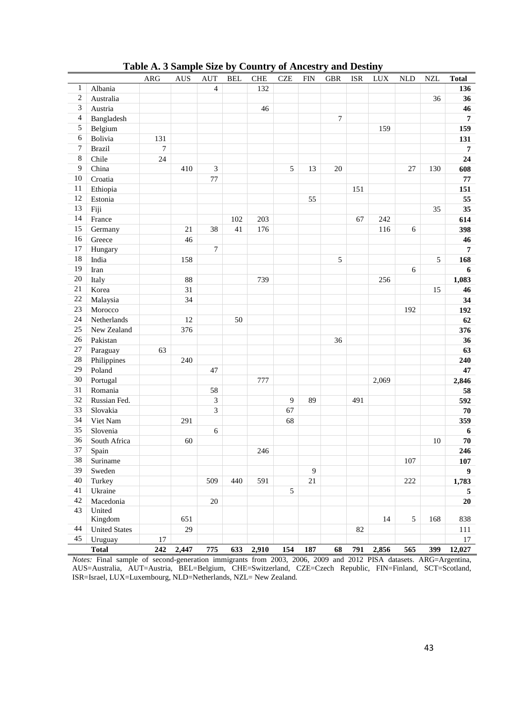|                         |                      | ARG              | <b>AUS</b> | <b>AUT</b>       | <b>BEL</b> | <b>CHE</b> | <b>CZE</b> | <b>FIN</b> | <b>GBR</b> | <b>ISR</b> | <b>LUX</b> | <b>NLD</b> | <b>NZL</b> | <b>Total</b>     |
|-------------------------|----------------------|------------------|------------|------------------|------------|------------|------------|------------|------------|------------|------------|------------|------------|------------------|
| $\mathbf{1}$            | Albania              |                  |            | $\overline{4}$   |            | 132        |            |            |            |            |            |            |            | 136              |
| $\overline{\mathbf{c}}$ | Australia            |                  |            |                  |            |            |            |            |            |            |            |            | 36         | 36               |
| 3                       | Austria              |                  |            |                  |            | 46         |            |            |            |            |            |            |            | 46               |
| $\overline{\mathbf{4}}$ | Bangladesh           |                  |            |                  |            |            |            |            | $\tau$     |            |            |            |            | $\overline{7}$   |
| 5                       | Belgium              |                  |            |                  |            |            |            |            |            |            | 159        |            |            | 159              |
| 6                       | Bolivia              | 131              |            |                  |            |            |            |            |            |            |            |            |            | 131              |
| $\boldsymbol{7}$        | <b>Brazil</b>        | $\boldsymbol{7}$ |            |                  |            |            |            |            |            |            |            |            |            | $\overline{7}$   |
| 8                       | Chile                | 24               |            |                  |            |            |            |            |            |            |            |            |            | 24               |
| 9                       | China                |                  | 410        | $\mathfrak{Z}$   |            |            | 5          | 13         | $20\,$     |            |            | 27         | 130        | 608              |
| 10                      | Croatia              |                  |            | 77               |            |            |            |            |            |            |            |            |            | $77\,$           |
| 11                      | Ethiopia             |                  |            |                  |            |            |            |            |            | 151        |            |            |            | 151              |
| 12                      | Estonia              |                  |            |                  |            |            |            | 55         |            |            |            |            |            | 55               |
| 13                      | Fiji                 |                  |            |                  |            |            |            |            |            |            |            |            | 35         | 35               |
| 14                      | France               |                  |            |                  | 102        | 203        |            |            |            | 67         | 242        |            |            | 614              |
| 15                      | Germany              |                  | 21         | 38               | 41         | 176        |            |            |            |            | 116        | 6          |            | 398              |
| 16                      | Greece               |                  | 46         |                  |            |            |            |            |            |            |            |            |            | 46               |
| 17                      | Hungary              |                  |            | $\boldsymbol{7}$ |            |            |            |            |            |            |            |            |            | $\overline{7}$   |
| 18                      | India                |                  | 158        |                  |            |            |            |            | 5          |            |            |            | 5          | 168              |
| 19                      | Iran                 |                  |            |                  |            |            |            |            |            |            |            | 6          |            | 6                |
| $20\,$                  | Italy                |                  | 88         |                  |            | 739        |            |            |            |            | 256        |            |            | 1,083            |
| 21                      | Korea                |                  | 31         |                  |            |            |            |            |            |            |            |            | 15         | 46               |
| $22\,$                  | Malaysia             |                  | 34         |                  |            |            |            |            |            |            |            |            |            | 34               |
| 23                      | Morocco              |                  |            |                  |            |            |            |            |            |            |            | 192        |            | 192              |
| 24                      | Netherlands          |                  | 12         |                  | 50         |            |            |            |            |            |            |            |            | 62               |
| 25                      | New Zealand          |                  | 376        |                  |            |            |            |            |            |            |            |            |            | 376              |
| $26\,$                  | Pakistan             |                  |            |                  |            |            |            |            | 36         |            |            |            |            | 36               |
| 27                      | Paraguay             | 63               |            |                  |            |            |            |            |            |            |            |            |            | 63               |
| $28\,$                  | Philippines          |                  | 240        |                  |            |            |            |            |            |            |            |            |            | 240              |
| 29                      | Poland               |                  |            | 47               |            |            |            |            |            |            |            |            |            | 47               |
| $30\,$                  | Portugal             |                  |            |                  |            | 777        |            |            |            |            | 2,069      |            |            | 2,846            |
| 31                      | Romania              |                  |            | 58               |            |            |            |            |            |            |            |            |            | 58               |
| 32                      | Russian Fed.         |                  |            | $\mathfrak{Z}$   |            |            | 9          | 89         |            | 491        |            |            |            | 592              |
| 33                      | Slovakia             |                  |            | 3                |            |            | 67         |            |            |            |            |            |            | ${\bf 70}$       |
| 34                      | Viet Nam             |                  | 291        |                  |            |            | 68         |            |            |            |            |            |            | 359              |
| 35                      | Slovenia             |                  |            | 6                |            |            |            |            |            |            |            |            |            | $\boldsymbol{6}$ |
| 36                      | South Africa         |                  | 60         |                  |            |            |            |            |            |            |            |            | 10         | 70               |
| 37                      | Spain                |                  |            |                  |            | 246        |            |            |            |            |            |            |            | 246              |
| 38                      | Suriname             |                  |            |                  |            |            |            |            |            |            |            | 107        |            | 107              |
| 39                      | Sweden               |                  |            |                  |            |            |            | 9          |            |            |            |            |            | 9 <sup>°</sup>   |
| 40                      | Turkey               |                  |            | 509              | 440        | 591        |            | 21         |            |            |            | 222        |            | 1,783            |
| 41                      | Ukraine              |                  |            |                  |            |            | 5          |            |            |            |            |            |            | 5                |
| 42                      | Macedonia            |                  |            | $20\,$           |            |            |            |            |            |            |            |            |            | 20               |
| 43                      | United               |                  |            |                  |            |            |            |            |            |            |            |            |            |                  |
|                         | Kingdom              |                  | 651        |                  |            |            |            |            |            |            | 14         | 5          | 168        | 838              |
| 44                      | <b>United States</b> |                  | 29         |                  |            |            |            |            |            | 82         |            |            |            | 111              |
| 45                      | Uruguay              | 17               |            |                  |            |            |            |            |            |            |            |            |            | 17               |
|                         | <b>Total</b>         | 242              | 2,447      | 775              |            | 633 2,910  | 154        | 187        | 68         | 791        | 2,856      | 565        | 399        | 12,027           |

**Table A. 3 Sample Size by Country of Ancestry and Destiny**

*Notes:* Final sample of second-generation immigrants from 2003, 2006, 2009 and 2012 PISA datasets. ARG=Argentina, AUS=Australia, AUT=Austria, BEL=Belgium, CHE=Switzerland, CZE=Czech Republic, FIN=Finland, SCT=Scotland, ISR=Israel, LUX=Luxembourg, NLD=Netherlands, NZL= New Zealand.